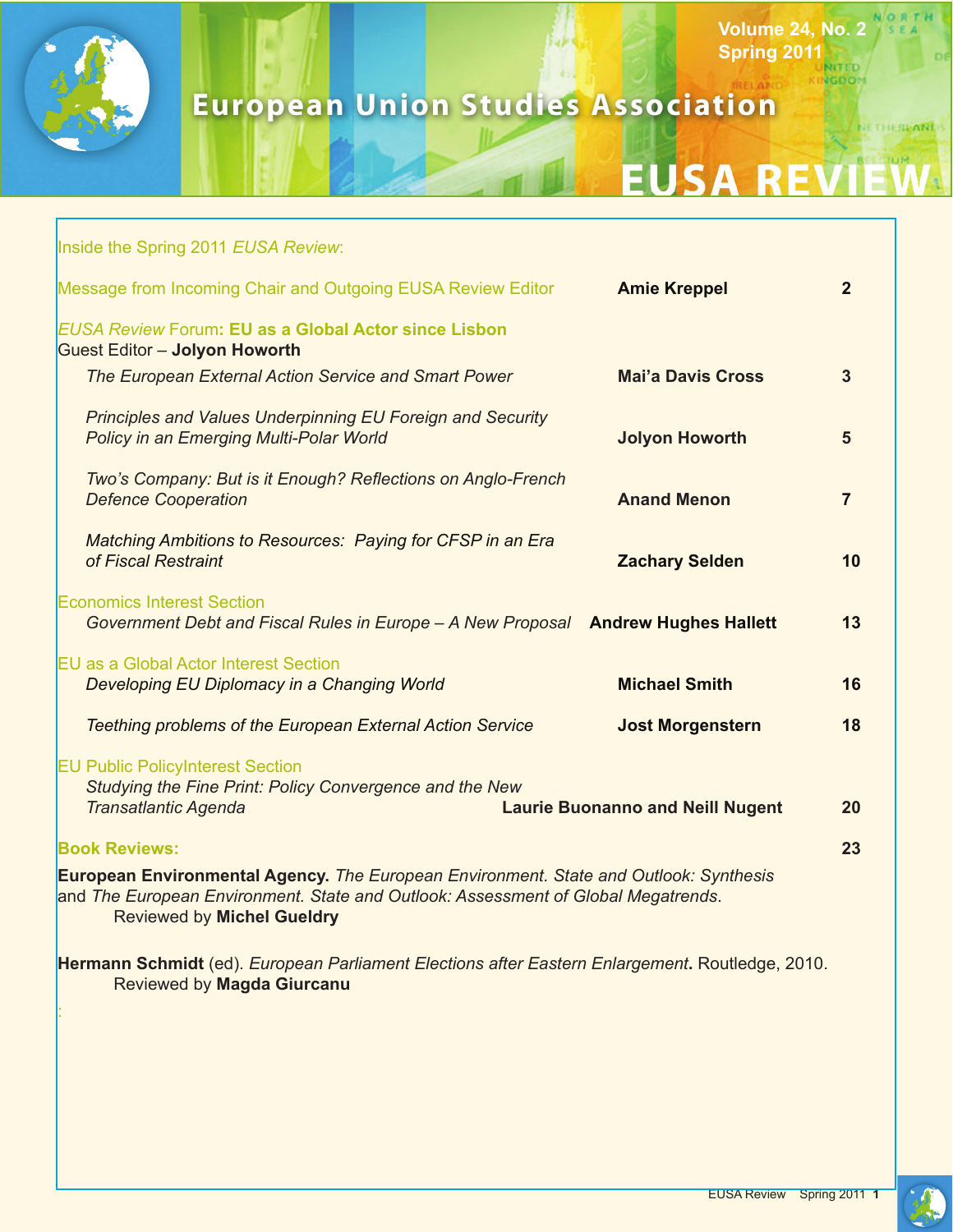

## **European Union Studies Association**

# **EUSA RE**

**Volume 24, No. 2 Spring 2011**

**NGDOM** 

NETHERPAND

| Inside the Spring 2011 EUSA Review:                                                                                                                                                                             |                                         |                |
|-----------------------------------------------------------------------------------------------------------------------------------------------------------------------------------------------------------------|-----------------------------------------|----------------|
| Message from Incoming Chair and Outgoing EUSA Review Editor                                                                                                                                                     | <b>Amie Kreppel</b>                     | $\overline{2}$ |
| <b>EUSA Review Forum: EU as a Global Actor since Lisbon</b><br><b>Guest Editor - Jolyon Howorth</b>                                                                                                             |                                         |                |
| The European External Action Service and Smart Power                                                                                                                                                            | <b>Mai'a Davis Cross</b>                | $\overline{3}$ |
| Principles and Values Underpinning EU Foreign and Security<br>Policy in an Emerging Multi-Polar World                                                                                                           | <b>Jolyon Howorth</b>                   | 5              |
| Two's Company: But is it Enough? Reflections on Anglo-French<br><b>Defence Cooperation</b>                                                                                                                      | <b>Anand Menon</b>                      | $\overline{7}$ |
| Matching Ambitions to Resources: Paying for CFSP in an Era<br>of Fiscal Restraint                                                                                                                               | <b>Zachary Selden</b>                   | 10             |
| <b>Economics Interest Section</b><br>Government Debt and Fiscal Rules in Europe - A New Proposal Andrew Hughes Hallett                                                                                          |                                         | 13             |
| <b>EU</b> as a Global Actor Interest Section                                                                                                                                                                    | <b>Michael Smith</b>                    | 16             |
| Developing EU Diplomacy in a Changing World                                                                                                                                                                     |                                         |                |
| Teething problems of the European External Action Service                                                                                                                                                       | <b>Jost Morgenstern</b>                 | 18             |
| <b>EU Public PolicyInterest Section</b><br>Studying the Fine Print: Policy Convergence and the New<br><b>Transatlantic Agenda</b>                                                                               | <b>Laurie Buonanno and Neill Nugent</b> | 20             |
|                                                                                                                                                                                                                 |                                         |                |
| <b>Book Reviews:</b>                                                                                                                                                                                            |                                         | 23             |
| European Environmental Agency. The European Environment. State and Outlook: Synthesis<br>and The European Environment. State and Outlook: Assessment of Global Megatrends.<br><b>Reviewed by Michel Gueldry</b> |                                         |                |
| Hermann Schmidt (ed). European Parliament Elections after Eastern Enlargement. Routledge, 2010.                                                                                                                 |                                         |                |

Reviewed by **Magda Giurcanu**

: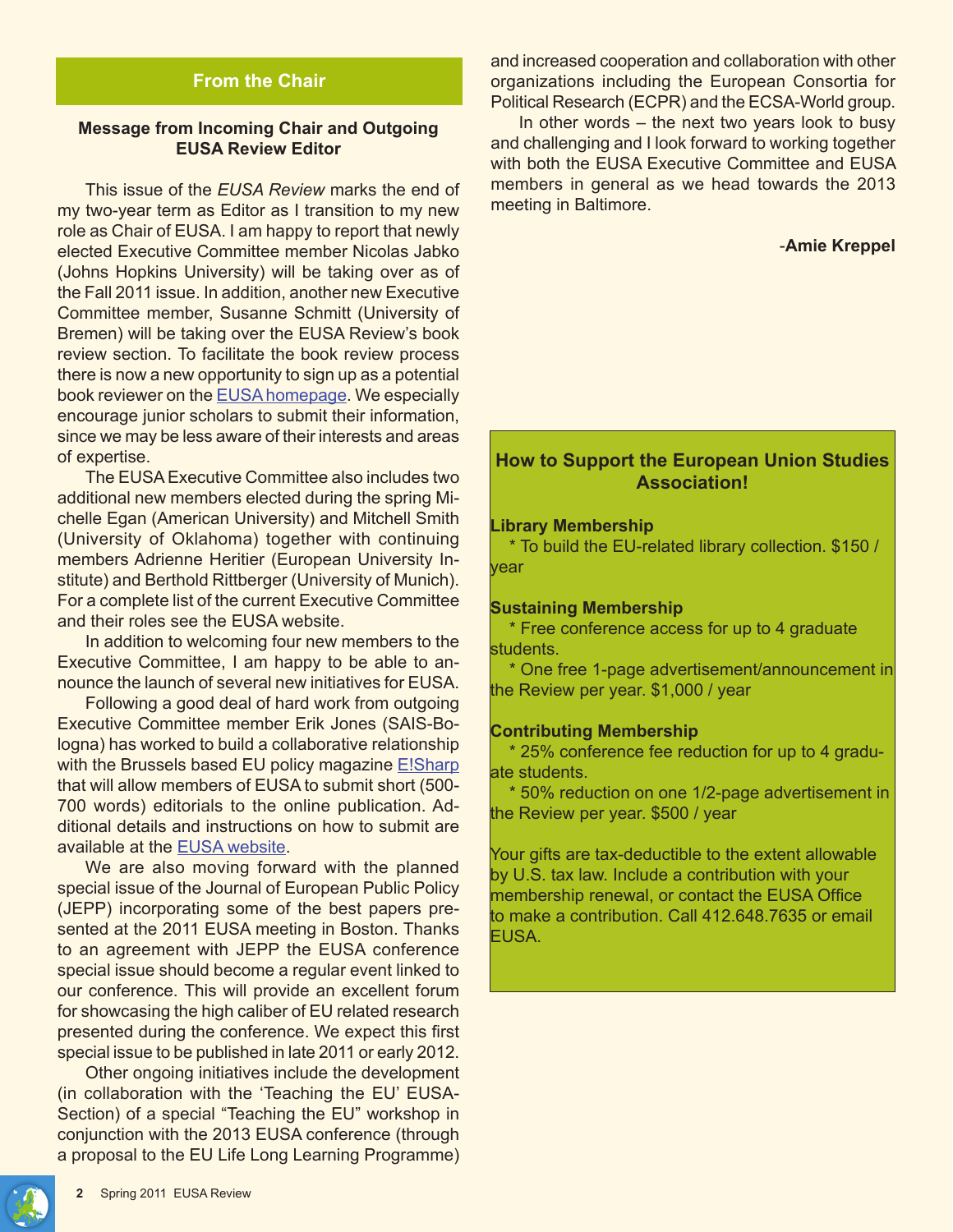## **From the Chair**

### **Message from Incoming Chair and Outgoing EUSA Review Editor**

This issue of the *EUSA Review* marks the end of my two-year term as Editor as I transition to my new role as Chair of EUSA. I am happy to report that newly elected Executive Committee member Nicolas Jabko (Johns Hopkins University) will be taking over as of the Fall 2011 issue. In addition, another new Executive Committee member, Susanne Schmitt (University of Bremen) will be taking over the EUSA Review's book review section. To facilitate the book review process there is now a new opportunity to sign up as a potential book reviewer on the EUSA homepage. We especially encourage junior scholars to submit their information, since we may be less aware of their interests and areas of expertise.

The EUSA Executive Committee also includes two additional new members elected during the spring Michelle Egan (American University) and Mitchell Smith (University of Oklahoma) together with continuing members Adrienne Heritier (European University Institute) and Berthold Rittberger (University of Munich). For a complete list of the current Executive Committee and their roles see the EUSA website.

In addition to welcoming four new members to the Executive Committee, I am happy to be able to announce the launch of several new initiatives for EUSA.

Following a good deal of hard work from outgoing Executive Committee member Erik Jones (SAIS-Bologna) has worked to build a collaborative relationship with the Brussels based EU policy magazine **E!Sharp** that will allow members of EUSA to submit short (500- 700 words) editorials to the online publication. Additional details and instructions on how to submit are available at the EUSA website.

We are also moving forward with the planned special issue of the Journal of European Public Policy (JEPP) incorporating some of the best papers presented at the 2011 EUSA meeting in Boston. Thanks to an agreement with JEPP the EUSA conference special issue should become a regular event linked to our conference. This will provide an excellent forum for showcasing the high caliber of EU related research presented during the conference. We expect this first special issue to be published in late 2011 or early 2012.

Other ongoing initiatives include the development (in collaboration with the 'Teaching the EU' EUSA-Section) of a special "Teaching the EU" workshop in conjunction with the 2013 EUSA conference (through a proposal to the EU Life Long Learning Programme)

and increased cooperation and collaboration with other organizations including the European Consortia for Political Research (ECPR) and the ECSA-World group.

In other words – the next two years look to busy and challenging and I look forward to working together with both the EUSA Executive Committee and EUSA members in general as we head towards the 2013 meeting in Baltimore.

#### -**Amie Kreppel**

## **How to Support the European Union Studies Association!**

#### **Library Membership**

 \* To build the EU-related library collection. \$150 / year

#### **Sustaining Membership**

 \* Free conference access for up to 4 graduate students.

 \* One free 1-page advertisement/announcement in the Review per year. \$1,000 / year

#### **Contributing Membership**

 \* 25% conference fee reduction for up to 4 graduate students.

 \* 50% reduction on one 1/2-page advertisement in the Review per year. \$500 / year

Your gifts are tax-deductible to the extent allowable by U.S. tax law. Include a contribution with your membership renewal, or contact the EUSA Office to make a contribution. Call 412.648.7635 or email EUSA.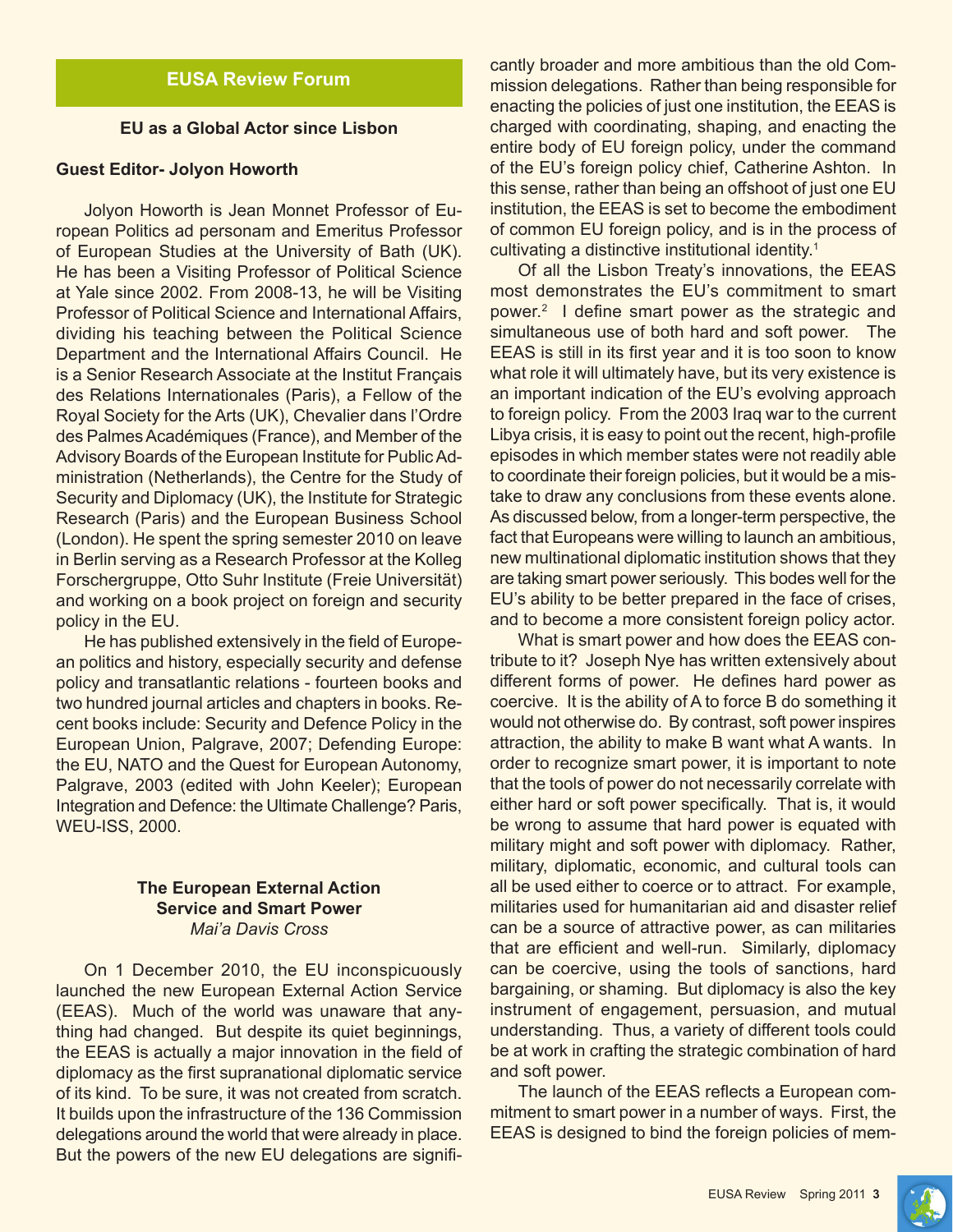## **EUSA Review Forum**

#### **EU as a Global Actor since Lisbon**

#### **Guest Editor- Jolyon Howorth**

Jolyon Howorth is Jean Monnet Professor of European Politics ad personam and Emeritus Professor of European Studies at the University of Bath (UK). He has been a Visiting Professor of Political Science at Yale since 2002. From 2008-13, he will be Visiting Professor of Political Science and International Affairs, dividing his teaching between the Political Science Department and the International Affairs Council. He is a Senior Research Associate at the Institut Français des Relations Internationales (Paris), a Fellow of the Royal Society for the Arts (UK), Chevalier dans l'Ordre des Palmes Académiques (France), and Member of the Advisory Boards of the European Institute for Public Administration (Netherlands), the Centre for the Study of Security and Diplomacy (UK), the Institute for Strategic Research (Paris) and the European Business School (London). He spent the spring semester 2010 on leave in Berlin serving as a Research Professor at the Kolleg Forschergruppe, Otto Suhr Institute (Freie Universität) and working on a book project on foreign and security policy in the EU.

He has published extensively in the field of European politics and history, especially security and defense policy and transatlantic relations - fourteen books and two hundred journal articles and chapters in books. Recent books include: Security and Defence Policy in the European Union, Palgrave, 2007; Defending Europe: the EU, NATO and the Quest for European Autonomy, Palgrave, 2003 (edited with John Keeler); European Integration and Defence: the Ultimate Challenge? Paris, WEU-ISS, 2000.

#### **The European External Action Service and Smart Power** *Mai'a Davis Cross*

On 1 December 2010, the EU inconspicuously launched the new European External Action Service (EEAS). Much of the world was unaware that anything had changed. But despite its quiet beginnings, the EEAS is actually a major innovation in the field of diplomacy as the first supranational diplomatic service of its kind. To be sure, it was not created from scratch. It builds upon the infrastructure of the 136 Commission delegations around the world that were already in place. But the powers of the new EU delegations are significantly broader and more ambitious than the old Commission delegations. Rather than being responsible for enacting the policies of just one institution, the EEAS is charged with coordinating, shaping, and enacting the entire body of EU foreign policy, under the command of the EU's foreign policy chief, Catherine Ashton. In this sense, rather than being an offshoot of just one EU institution, the EEAS is set to become the embodiment of common EU foreign policy, and is in the process of cultivating a distinctive institutional identity.1

Of all the Lisbon Treaty's innovations, the EEAS most demonstrates the EU's commitment to smart power.2 I define smart power as the strategic and simultaneous use of both hard and soft power. The EEAS is still in its first year and it is too soon to know what role it will ultimately have, but its very existence is an important indication of the EU's evolving approach to foreign policy. From the 2003 Iraq war to the current Libya crisis, it is easy to point out the recent, high-profile episodes in which member states were not readily able to coordinate their foreign policies, but it would be a mistake to draw any conclusions from these events alone. As discussed below, from a longer-term perspective, the fact that Europeans were willing to launch an ambitious, new multinational diplomatic institution shows that they are taking smart power seriously. This bodes well for the EU's ability to be better prepared in the face of crises, and to become a more consistent foreign policy actor.

What is smart power and how does the EEAS contribute to it? Joseph Nye has written extensively about different forms of power. He defines hard power as coercive. It is the ability of A to force B do something it would not otherwise do. By contrast, soft power inspires attraction, the ability to make B want what A wants. In order to recognize smart power, it is important to note that the tools of power do not necessarily correlate with either hard or soft power specifically. That is, it would be wrong to assume that hard power is equated with military might and soft power with diplomacy. Rather, military, diplomatic, economic, and cultural tools can all be used either to coerce or to attract. For example, militaries used for humanitarian aid and disaster relief can be a source of attractive power, as can militaries that are efficient and well-run. Similarly, diplomacy can be coercive, using the tools of sanctions, hard bargaining, or shaming. But diplomacy is also the key instrument of engagement, persuasion, and mutual understanding. Thus, a variety of different tools could be at work in crafting the strategic combination of hard and soft power.

The launch of the EEAS reflects a European commitment to smart power in a number of ways. First, the EEAS is designed to bind the foreign policies of mem-

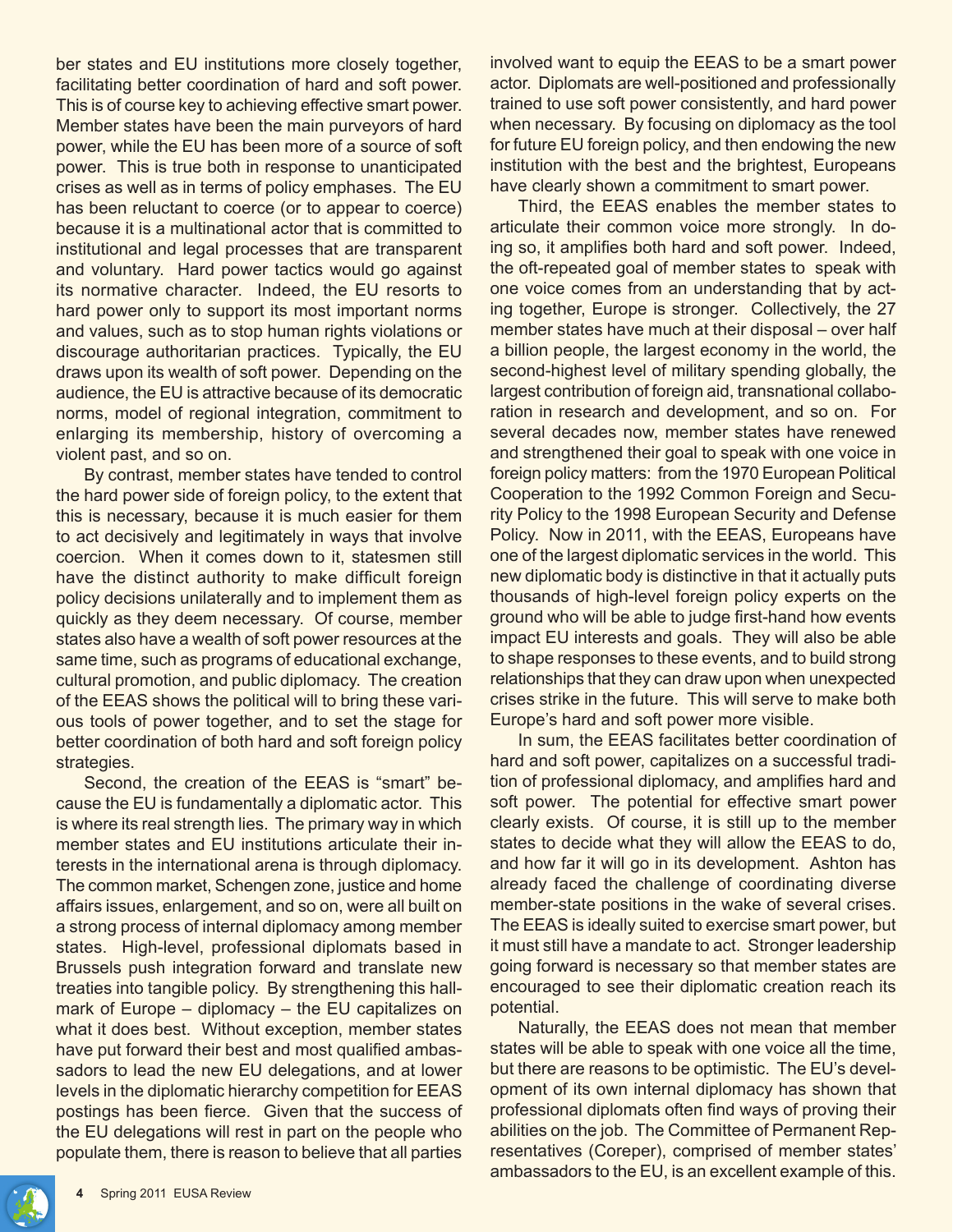ber states and EU institutions more closely together, facilitating better coordination of hard and soft power. This is of course key to achieving effective smart power. Member states have been the main purveyors of hard power, while the EU has been more of a source of soft power. This is true both in response to unanticipated crises as well as in terms of policy emphases. The EU has been reluctant to coerce (or to appear to coerce) because it is a multinational actor that is committed to institutional and legal processes that are transparent and voluntary. Hard power tactics would go against its normative character. Indeed, the EU resorts to hard power only to support its most important norms and values, such as to stop human rights violations or discourage authoritarian practices. Typically, the EU draws upon its wealth of soft power. Depending on the audience, the EU is attractive because of its democratic norms, model of regional integration, commitment to enlarging its membership, history of overcoming a violent past, and so on.

By contrast, member states have tended to control the hard power side of foreign policy, to the extent that this is necessary, because it is much easier for them to act decisively and legitimately in ways that involve coercion. When it comes down to it, statesmen still have the distinct authority to make difficult foreign policy decisions unilaterally and to implement them as quickly as they deem necessary. Of course, member states also have a wealth of soft power resources at the same time, such as programs of educational exchange, cultural promotion, and public diplomacy. The creation of the EEAS shows the political will to bring these various tools of power together, and to set the stage for better coordination of both hard and soft foreign policy strategies.

Second, the creation of the EEAS is "smart" because the EU is fundamentally a diplomatic actor. This is where its real strength lies. The primary way in which member states and EU institutions articulate their interests in the international arena is through diplomacy. The common market, Schengen zone, justice and home affairs issues, enlargement, and so on, were all built on a strong process of internal diplomacy among member states. High-level, professional diplomats based in Brussels push integration forward and translate new treaties into tangible policy. By strengthening this hallmark of Europe – diplomacy – the EU capitalizes on what it does best. Without exception, member states have put forward their best and most qualified ambassadors to lead the new EU delegations, and at lower levels in the diplomatic hierarchy competition for EEAS postings has been fierce. Given that the success of the EU delegations will rest in part on the people who populate them, there is reason to believe that all parties

involved want to equip the EEAS to be a smart power actor. Diplomats are well-positioned and professionally trained to use soft power consistently, and hard power when necessary. By focusing on diplomacy as the tool for future EU foreign policy, and then endowing the new institution with the best and the brightest, Europeans have clearly shown a commitment to smart power.

Third, the EEAS enables the member states to articulate their common voice more strongly. In doing so, it amplifies both hard and soft power. Indeed, the oft-repeated goal of member states to speak with one voice comes from an understanding that by acting together, Europe is stronger. Collectively, the 27 member states have much at their disposal – over half a billion people, the largest economy in the world, the second-highest level of military spending globally, the largest contribution of foreign aid, transnational collaboration in research and development, and so on. For several decades now, member states have renewed and strengthened their goal to speak with one voice in foreign policy matters: from the 1970 European Political Cooperation to the 1992 Common Foreign and Security Policy to the 1998 European Security and Defense Policy. Now in 2011, with the EEAS, Europeans have one of the largest diplomatic services in the world. This new diplomatic body is distinctive in that it actually puts thousands of high-level foreign policy experts on the ground who will be able to judge first-hand how events impact EU interests and goals. They will also be able to shape responses to these events, and to build strong relationships that they can draw upon when unexpected crises strike in the future. This will serve to make both Europe's hard and soft power more visible.

In sum, the EEAS facilitates better coordination of hard and soft power, capitalizes on a successful tradition of professional diplomacy, and amplifies hard and soft power. The potential for effective smart power clearly exists. Of course, it is still up to the member states to decide what they will allow the EEAS to do, and how far it will go in its development. Ashton has already faced the challenge of coordinating diverse member-state positions in the wake of several crises. The EEAS is ideally suited to exercise smart power, but it must still have a mandate to act. Stronger leadership going forward is necessary so that member states are encouraged to see their diplomatic creation reach its potential.

Naturally, the EEAS does not mean that member states will be able to speak with one voice all the time, but there are reasons to be optimistic. The EU's development of its own internal diplomacy has shown that professional diplomats often find ways of proving their abilities on the job. The Committee of Permanent Representatives (Coreper), comprised of member states' ambassadors to the EU, is an excellent example of this.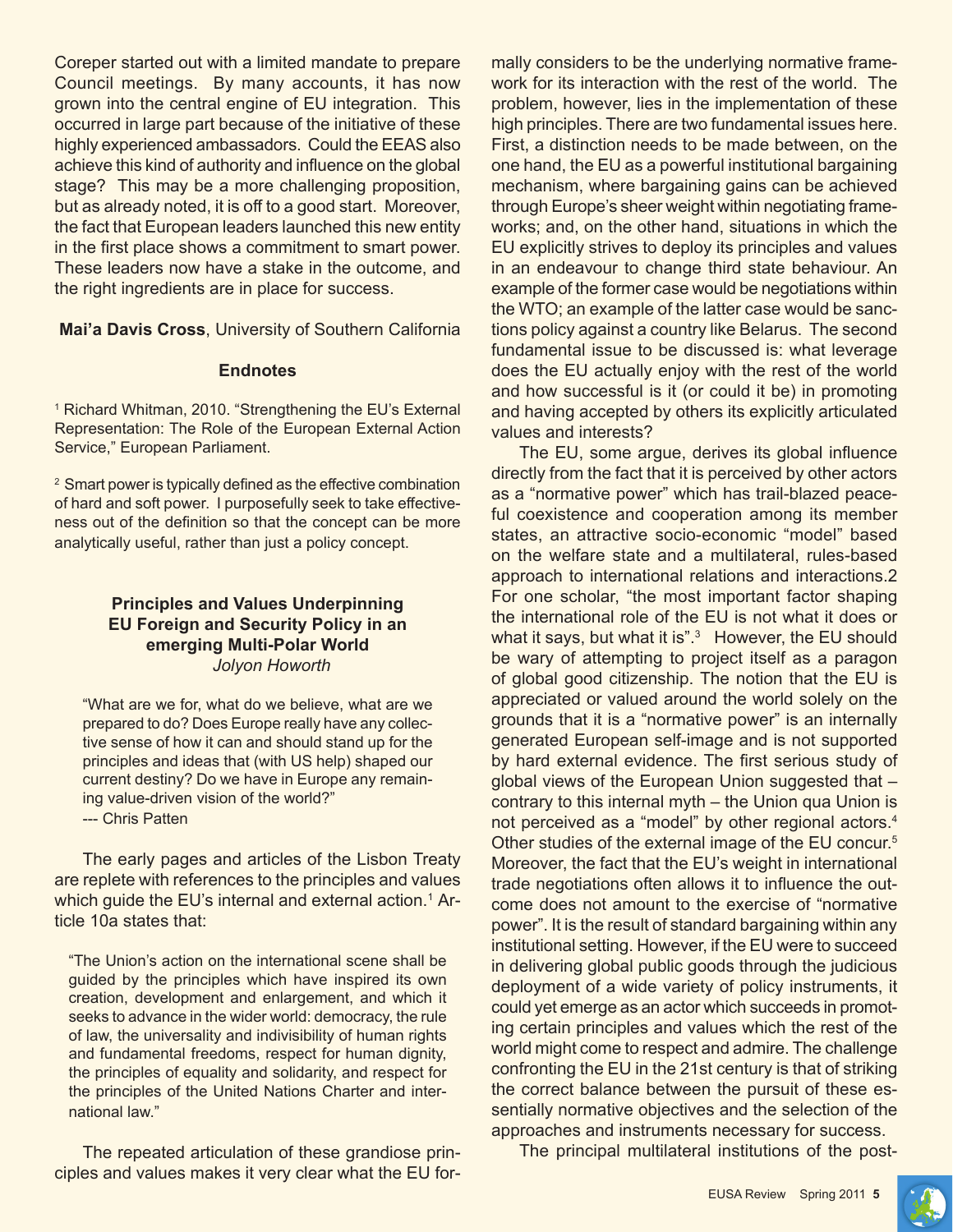Coreper started out with a limited mandate to prepare Council meetings. By many accounts, it has now grown into the central engine of EU integration. This occurred in large part because of the initiative of these highly experienced ambassadors. Could the EEAS also achieve this kind of authority and influence on the global stage? This may be a more challenging proposition, but as already noted, it is off to a good start. Moreover, the fact that European leaders launched this new entity in the first place shows a commitment to smart power. These leaders now have a stake in the outcome, and the right ingredients are in place for success.

**Mai'a Davis Cross**, University of Southern California

#### **Endnotes**

1 Richard Whitman, 2010. "Strengthening the EU's External Representation: The Role of the European External Action Service," European Parliament.

<sup>2</sup> Smart power is typically defined as the effective combination of hard and soft power. I purposefully seek to take effectiveness out of the definition so that the concept can be more analytically useful, rather than just a policy concept.

#### **Principles and Values Underpinning EU Foreign and Security Policy in an emerging Multi-Polar World** *Jolyon Howorth*

"What are we for, what do we believe, what are we prepared to do? Does Europe really have any collective sense of how it can and should stand up for the principles and ideas that (with US help) shaped our current destiny? Do we have in Europe any remaining value-driven vision of the world?"

--- Chris Patten

The early pages and articles of the Lisbon Treaty are replete with references to the principles and values which guide the EU's internal and external action.<sup>1</sup> Article 10a states that:

"The Union's action on the international scene shall be guided by the principles which have inspired its own creation, development and enlargement, and which it seeks to advance in the wider world: democracy, the rule of law, the universality and indivisibility of human rights and fundamental freedoms, respect for human dignity, the principles of equality and solidarity, and respect for the principles of the United Nations Charter and international law."

The repeated articulation of these grandiose principles and values makes it very clear what the EU formally considers to be the underlying normative framework for its interaction with the rest of the world. The problem, however, lies in the implementation of these high principles. There are two fundamental issues here. First, a distinction needs to be made between, on the one hand, the EU as a powerful institutional bargaining mechanism, where bargaining gains can be achieved through Europe's sheer weight within negotiating frameworks; and, on the other hand, situations in which the EU explicitly strives to deploy its principles and values in an endeavour to change third state behaviour. An example of the former case would be negotiations within the WTO; an example of the latter case would be sanctions policy against a country like Belarus. The second fundamental issue to be discussed is: what leverage does the EU actually enjoy with the rest of the world and how successful is it (or could it be) in promoting and having accepted by others its explicitly articulated values and interests?

The EU, some argue, derives its global influence directly from the fact that it is perceived by other actors as a "normative power" which has trail-blazed peaceful coexistence and cooperation among its member states, an attractive socio-economic "model" based on the welfare state and a multilateral, rules-based approach to international relations and interactions.2 For one scholar, "the most important factor shaping the international role of the EU is not what it does or what it says, but what it is".<sup>3</sup> However, the EU should be wary of attempting to project itself as a paragon of global good citizenship. The notion that the EU is appreciated or valued around the world solely on the grounds that it is a "normative power" is an internally generated European self-image and is not supported by hard external evidence. The first serious study of global views of the European Union suggested that – contrary to this internal myth – the Union qua Union is not perceived as a "model" by other regional actors.4 Other studies of the external image of the EU concur.5 Moreover, the fact that the EU's weight in international trade negotiations often allows it to influence the outcome does not amount to the exercise of "normative power". It is the result of standard bargaining within any institutional setting. However, if the EU were to succeed in delivering global public goods through the judicious deployment of a wide variety of policy instruments, it could yet emerge as an actor which succeeds in promoting certain principles and values which the rest of the world might come to respect and admire. The challenge confronting the EU in the 21st century is that of striking the correct balance between the pursuit of these essentially normative objectives and the selection of the approaches and instruments necessary for success.

The principal multilateral institutions of the post-

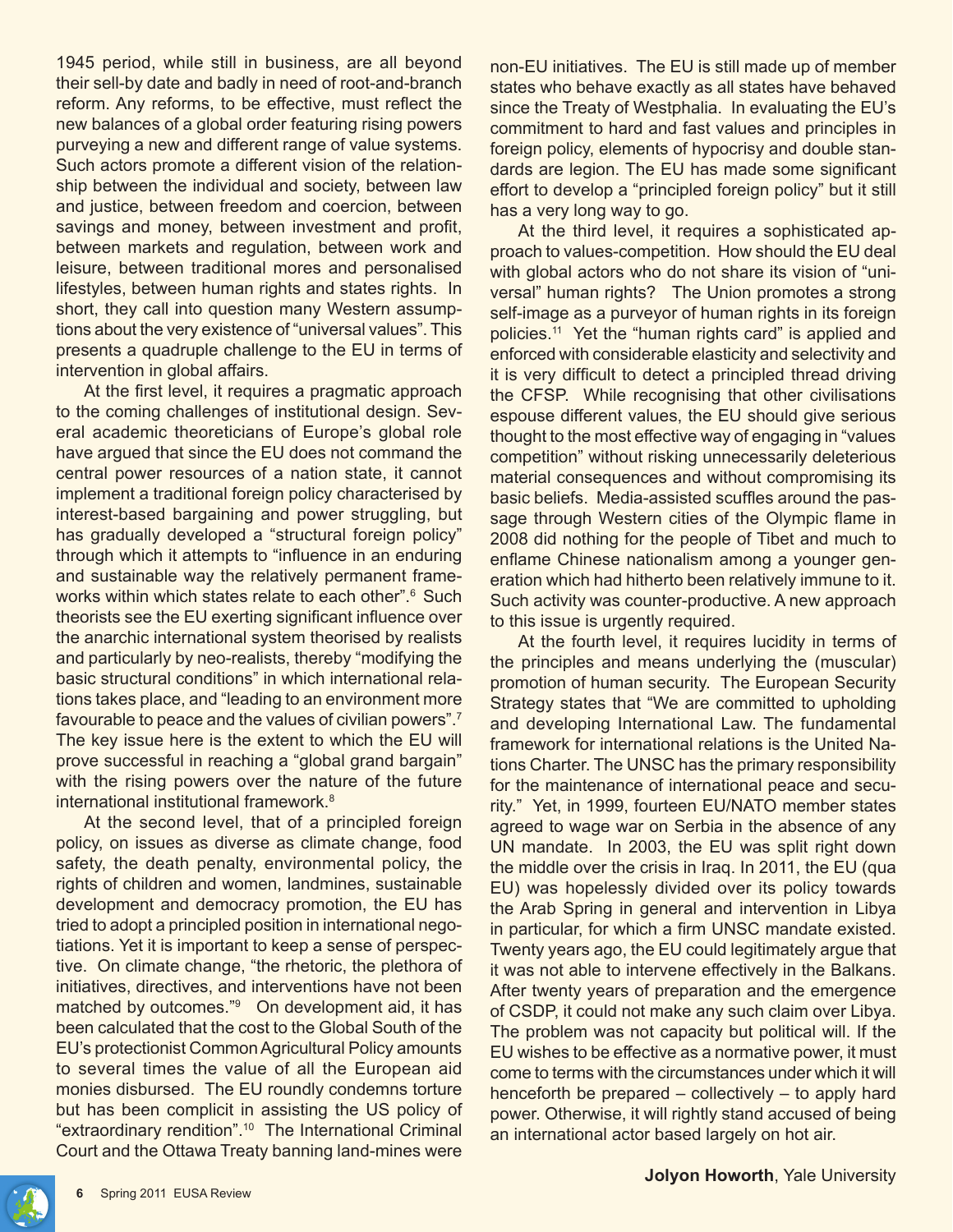1945 period, while still in business, are all beyond their sell-by date and badly in need of root-and-branch reform. Any reforms, to be effective, must reflect the new balances of a global order featuring rising powers purveying a new and different range of value systems. Such actors promote a different vision of the relationship between the individual and society, between law and justice, between freedom and coercion, between savings and money, between investment and profit, between markets and regulation, between work and leisure, between traditional mores and personalised lifestyles, between human rights and states rights. In short, they call into question many Western assumptions about the very existence of "universal values". This presents a quadruple challenge to the EU in terms of intervention in global affairs.

At the first level, it requires a pragmatic approach to the coming challenges of institutional design. Several academic theoreticians of Europe's global role have argued that since the EU does not command the central power resources of a nation state, it cannot implement a traditional foreign policy characterised by interest-based bargaining and power struggling, but has gradually developed a "structural foreign policy" through which it attempts to "influence in an enduring and sustainable way the relatively permanent frameworks within which states relate to each other".6 Such theorists see the EU exerting significant influence over the anarchic international system theorised by realists and particularly by neo-realists, thereby "modifying the basic structural conditions" in which international relations takes place, and "leading to an environment more favourable to peace and the values of civilian powers".7 The key issue here is the extent to which the EU will prove successful in reaching a "global grand bargain" with the rising powers over the nature of the future international institutional framework.<sup>8</sup>

At the second level, that of a principled foreign policy, on issues as diverse as climate change, food safety, the death penalty, environmental policy, the rights of children and women, landmines, sustainable development and democracy promotion, the EU has tried to adopt a principled position in international negotiations. Yet it is important to keep a sense of perspective. On climate change, "the rhetoric, the plethora of initiatives, directives, and interventions have not been matched by outcomes."<sup>9</sup> On development aid, it has been calculated that the cost to the Global South of the EU's protectionist Common Agricultural Policy amounts to several times the value of all the European aid monies disbursed. The EU roundly condemns torture but has been complicit in assisting the US policy of "extraordinary rendition".10 The International Criminal Court and the Ottawa Treaty banning land-mines were

non-EU initiatives. The EU is still made up of member states who behave exactly as all states have behaved since the Treaty of Westphalia. In evaluating the EU's commitment to hard and fast values and principles in foreign policy, elements of hypocrisy and double standards are legion. The EU has made some significant effort to develop a "principled foreign policy" but it still has a very long way to go.

At the third level, it requires a sophisticated approach to values-competition. How should the EU deal with global actors who do not share its vision of "universal" human rights? The Union promotes a strong self-image as a purveyor of human rights in its foreign policies.11 Yet the "human rights card" is applied and enforced with considerable elasticity and selectivity and it is very difficult to detect a principled thread driving the CFSP. While recognising that other civilisations espouse different values, the EU should give serious thought to the most effective way of engaging in "values competition" without risking unnecessarily deleterious material consequences and without compromising its basic beliefs. Media-assisted scuffles around the passage through Western cities of the Olympic flame in 2008 did nothing for the people of Tibet and much to enflame Chinese nationalism among a younger generation which had hitherto been relatively immune to it. Such activity was counter-productive. A new approach to this issue is urgently required.

At the fourth level, it requires lucidity in terms of the principles and means underlying the (muscular) promotion of human security. The European Security Strategy states that "We are committed to upholding and developing International Law. The fundamental framework for international relations is the United Nations Charter. The UNSC has the primary responsibility for the maintenance of international peace and security." Yet, in 1999, fourteen EU/NATO member states agreed to wage war on Serbia in the absence of any UN mandate. In 2003, the EU was split right down the middle over the crisis in Iraq. In 2011, the EU (qua EU) was hopelessly divided over its policy towards the Arab Spring in general and intervention in Libya in particular, for which a firm UNSC mandate existed. Twenty years ago, the EU could legitimately argue that it was not able to intervene effectively in the Balkans. After twenty years of preparation and the emergence of CSDP, it could not make any such claim over Libya. The problem was not capacity but political will. If the EU wishes to be effective as a normative power, it must come to terms with the circumstances under which it will henceforth be prepared – collectively – to apply hard power. Otherwise, it will rightly stand accused of being an international actor based largely on hot air.

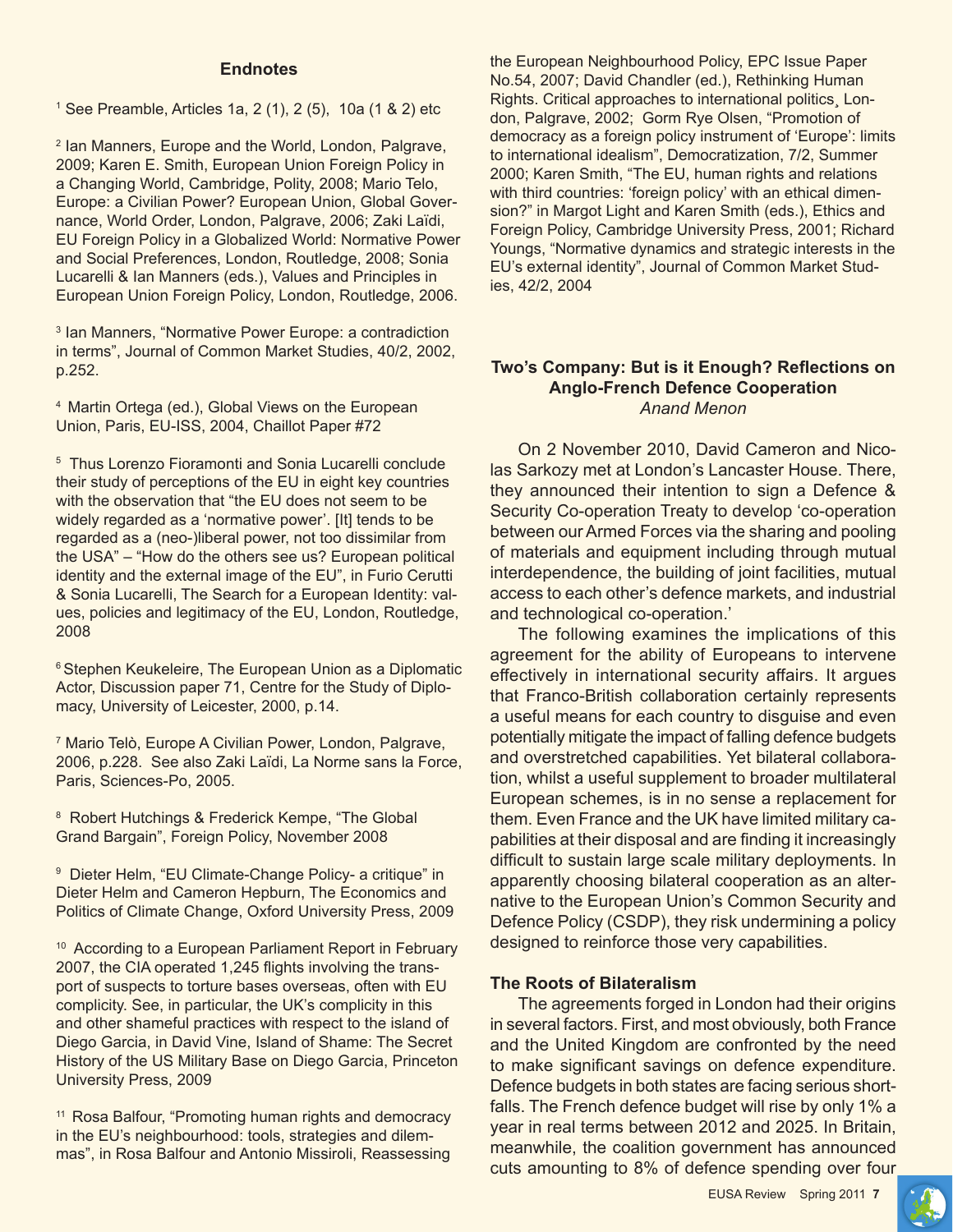#### **Endnotes**

1 See Preamble, Articles 1a, 2 (1), 2 (5), 10a (1 & 2) etc

2 Ian Manners, Europe and the World, London, Palgrave, 2009; Karen E. Smith, European Union Foreign Policy in a Changing World, Cambridge, Polity, 2008; Mario Telo, Europe: a Civilian Power? European Union, Global Governance, World Order, London, Palgrave, 2006; Zaki Laïdi, EU Foreign Policy in a Globalized World: Normative Power and Social Preferences, London, Routledge, 2008; Sonia Lucarelli & Ian Manners (eds.), Values and Principles in European Union Foreign Policy, London, Routledge, 2006.

3 Ian Manners, "Normative Power Europe: a contradiction in terms", Journal of Common Market Studies, 40/2, 2002, p.252.

4 Martin Ortega (ed.), Global Views on the European Union, Paris, EU-ISS, 2004, Chaillot Paper #72

5 Thus Lorenzo Fioramonti and Sonia Lucarelli conclude their study of perceptions of the EU in eight key countries with the observation that "the EU does not seem to be widely regarded as a 'normative power'. [It] tends to be regarded as a (neo-)liberal power, not too dissimilar from the USA" – "How do the others see us? European political identity and the external image of the EU", in Furio Cerutti & Sonia Lucarelli, The Search for a European Identity: values, policies and legitimacy of the EU, London, Routledge, 2008

<sup>6</sup> Stephen Keukeleire, The European Union as a Diplomatic Actor, Discussion paper 71, Centre for the Study of Diplomacy, University of Leicester, 2000, p.14.

7 Mario Telò, Europe A Civilian Power, London, Palgrave, 2006, p.228. See also Zaki Laïdi, La Norme sans la Force, Paris, Sciences-Po, 2005.

<sup>8</sup> Robert Hutchings & Frederick Kempe, "The Global Grand Bargain", Foreign Policy, November 2008

<sup>9</sup> Dieter Helm, "EU Climate-Change Policy- a critique" in Dieter Helm and Cameron Hepburn, The Economics and Politics of Climate Change, Oxford University Press, 2009

<sup>10</sup> According to a European Parliament Report in February 2007, the CIA operated 1,245 flights involving the transport of suspects to torture bases overseas, often with EU complicity. See, in particular, the UK's complicity in this and other shameful practices with respect to the island of Diego Garcia, in David Vine, Island of Shame: The Secret History of the US Military Base on Diego Garcia, Princeton University Press, 2009

11 Rosa Balfour, "Promoting human rights and democracy in the EU's neighbourhood: tools, strategies and dilemmas", in Rosa Balfour and Antonio Missiroli, Reassessing

the European Neighbourhood Policy, EPC Issue Paper No.54, 2007; David Chandler (ed.), Rethinking Human Rights. Critical approaches to international politics¸ London, Palgrave, 2002; Gorm Rye Olsen, "Promotion of democracy as a foreign policy instrument of 'Europe': limits to international idealism", Democratization, 7/2, Summer 2000; Karen Smith, "The EU, human rights and relations with third countries: 'foreign policy' with an ethical dimension?" in Margot Light and Karen Smith (eds.), Ethics and Foreign Policy, Cambridge University Press, 2001; Richard Youngs, "Normative dynamics and strategic interests in the EU's external identity", Journal of Common Market Studies, 42/2, 2004

#### **Two's Company: But is it Enough? Reflections on Anglo-French Defence Cooperation** *Anand Menon*

On 2 November 2010, David Cameron and Nicolas Sarkozy met at London's Lancaster House. There, they announced their intention to sign a Defence & Security Co-operation Treaty to develop 'co-operation between our Armed Forces via the sharing and pooling of materials and equipment including through mutual interdependence, the building of joint facilities, mutual access to each other's defence markets, and industrial and technological co-operation.'

The following examines the implications of this agreement for the ability of Europeans to intervene effectively in international security affairs. It argues that Franco-British collaboration certainly represents a useful means for each country to disguise and even potentially mitigate the impact of falling defence budgets and overstretched capabilities. Yet bilateral collaboration, whilst a useful supplement to broader multilateral European schemes, is in no sense a replacement for them. Even France and the UK have limited military capabilities at their disposal and are finding it increasingly difficult to sustain large scale military deployments. In apparently choosing bilateral cooperation as an alternative to the European Union's Common Security and Defence Policy (CSDP), they risk undermining a policy designed to reinforce those very capabilities.

#### **The Roots of Bilateralism**

The agreements forged in London had their origins in several factors. First, and most obviously, both France and the United Kingdom are confronted by the need to make significant savings on defence expenditure. Defence budgets in both states are facing serious shortfalls. The French defence budget will rise by only 1% a year in real terms between 2012 and 2025. In Britain, meanwhile, the coalition government has announced cuts amounting to 8% of defence spending over four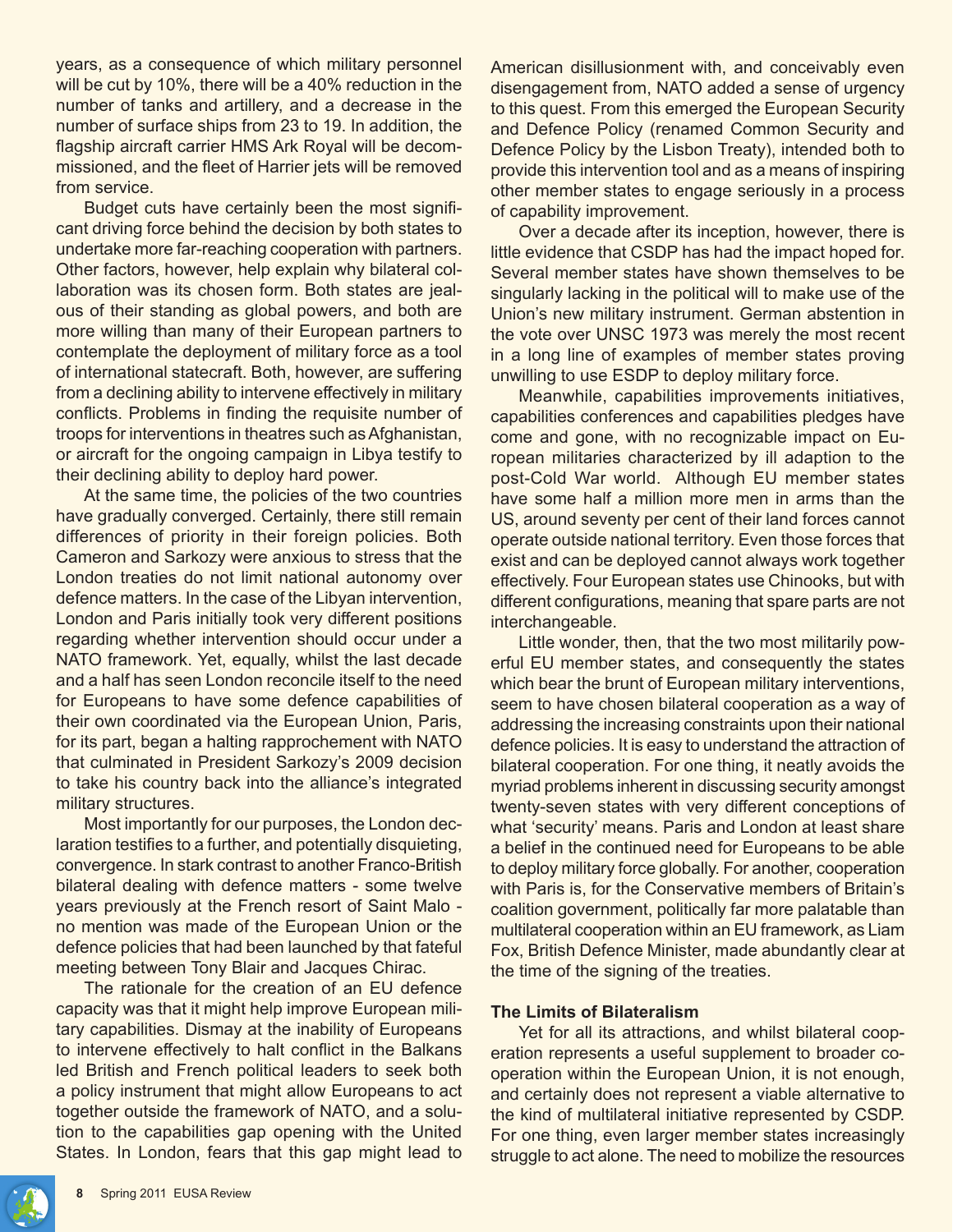years, as a consequence of which military personnel will be cut by 10%, there will be a 40% reduction in the number of tanks and artillery, and a decrease in the number of surface ships from 23 to 19. In addition, the flagship aircraft carrier HMS Ark Royal will be decommissioned, and the fleet of Harrier jets will be removed from service.

Budget cuts have certainly been the most significant driving force behind the decision by both states to undertake more far-reaching cooperation with partners. Other factors, however, help explain why bilateral collaboration was its chosen form. Both states are jealous of their standing as global powers, and both are more willing than many of their European partners to contemplate the deployment of military force as a tool of international statecraft. Both, however, are suffering from a declining ability to intervene effectively in military conflicts. Problems in finding the requisite number of troops for interventions in theatres such as Afghanistan, or aircraft for the ongoing campaign in Libya testify to their declining ability to deploy hard power.

At the same time, the policies of the two countries have gradually converged. Certainly, there still remain differences of priority in their foreign policies. Both Cameron and Sarkozy were anxious to stress that the London treaties do not limit national autonomy over defence matters. In the case of the Libyan intervention, London and Paris initially took very different positions regarding whether intervention should occur under a NATO framework. Yet, equally, whilst the last decade and a half has seen London reconcile itself to the need for Europeans to have some defence capabilities of their own coordinated via the European Union, Paris, for its part, began a halting rapprochement with NATO that culminated in President Sarkozy's 2009 decision to take his country back into the alliance's integrated military structures.

Most importantly for our purposes, the London declaration testifies to a further, and potentially disquieting, convergence. In stark contrast to another Franco-British bilateral dealing with defence matters - some twelve years previously at the French resort of Saint Malo no mention was made of the European Union or the defence policies that had been launched by that fateful meeting between Tony Blair and Jacques Chirac.

The rationale for the creation of an EU defence capacity was that it might help improve European military capabilities. Dismay at the inability of Europeans to intervene effectively to halt conflict in the Balkans led British and French political leaders to seek both a policy instrument that might allow Europeans to act together outside the framework of NATO, and a solution to the capabilities gap opening with the United States. In London, fears that this gap might lead to

American disillusionment with, and conceivably even disengagement from, NATO added a sense of urgency to this quest. From this emerged the European Security and Defence Policy (renamed Common Security and Defence Policy by the Lisbon Treaty), intended both to provide this intervention tool and as a means of inspiring other member states to engage seriously in a process of capability improvement.

Over a decade after its inception, however, there is little evidence that CSDP has had the impact hoped for. Several member states have shown themselves to be singularly lacking in the political will to make use of the Union's new military instrument. German abstention in the vote over UNSC 1973 was merely the most recent in a long line of examples of member states proving unwilling to use ESDP to deploy military force.

Meanwhile, capabilities improvements initiatives, capabilities conferences and capabilities pledges have come and gone, with no recognizable impact on European militaries characterized by ill adaption to the post-Cold War world. Although EU member states have some half a million more men in arms than the US, around seventy per cent of their land forces cannot operate outside national territory. Even those forces that exist and can be deployed cannot always work together effectively. Four European states use Chinooks, but with different configurations, meaning that spare parts are not interchangeable.

Little wonder, then, that the two most militarily powerful EU member states, and consequently the states which bear the brunt of European military interventions, seem to have chosen bilateral cooperation as a way of addressing the increasing constraints upon their national defence policies. It is easy to understand the attraction of bilateral cooperation. For one thing, it neatly avoids the myriad problems inherent in discussing security amongst twenty-seven states with very different conceptions of what 'security' means. Paris and London at least share a belief in the continued need for Europeans to be able to deploy military force globally. For another, cooperation with Paris is, for the Conservative members of Britain's coalition government, politically far more palatable than multilateral cooperation within an EU framework, as Liam Fox, British Defence Minister, made abundantly clear at the time of the signing of the treaties.

#### **The Limits of Bilateralism**

Yet for all its attractions, and whilst bilateral cooperation represents a useful supplement to broader cooperation within the European Union, it is not enough, and certainly does not represent a viable alternative to the kind of multilateral initiative represented by CSDP. For one thing, even larger member states increasingly struggle to act alone. The need to mobilize the resources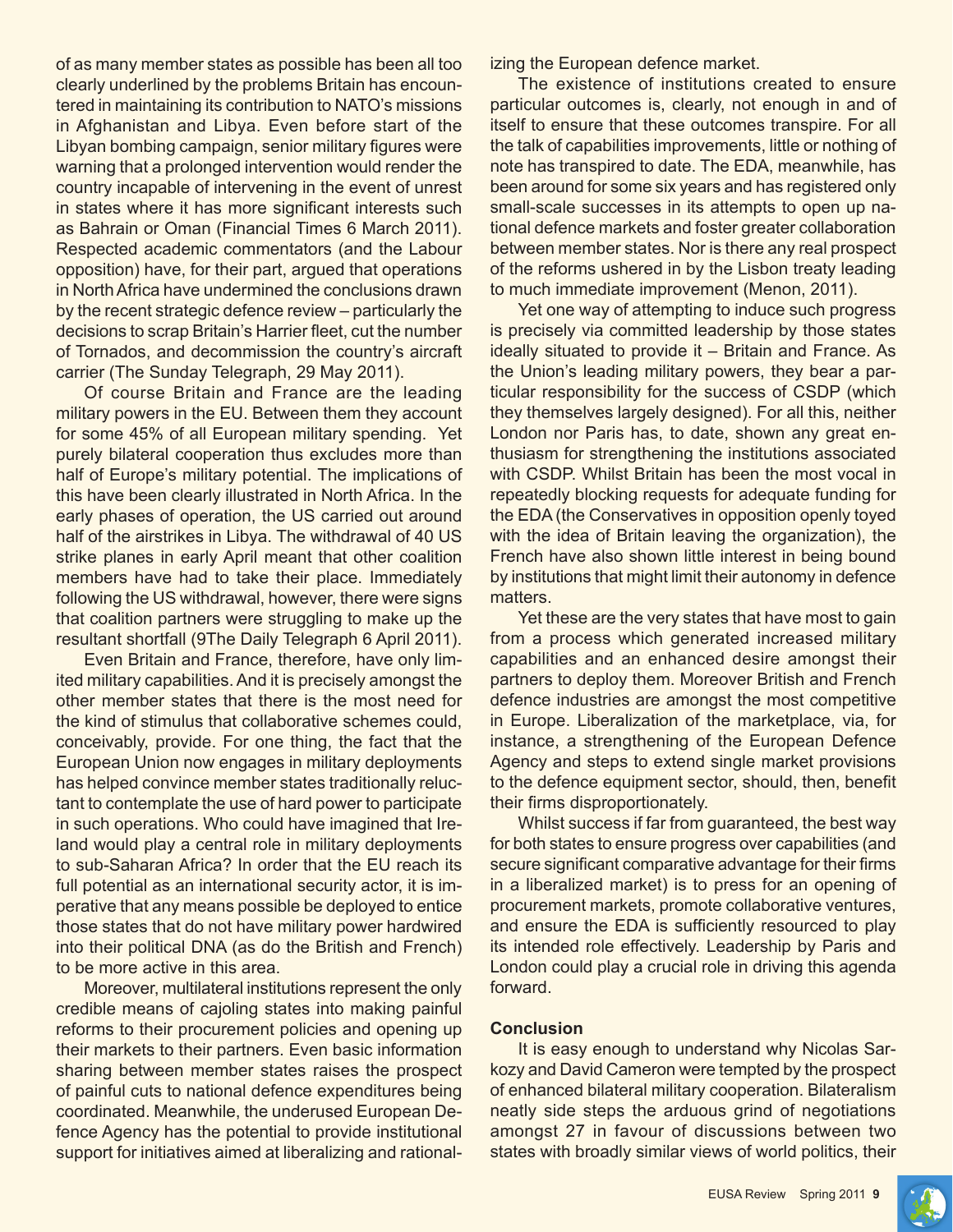of as many member states as possible has been all too clearly underlined by the problems Britain has encountered in maintaining its contribution to NATO's missions in Afghanistan and Libya. Even before start of the Libyan bombing campaign, senior military figures were warning that a prolonged intervention would render the country incapable of intervening in the event of unrest in states where it has more significant interests such as Bahrain or Oman (Financial Times 6 March 2011). Respected academic commentators (and the Labour opposition) have, for their part, argued that operations in North Africa have undermined the conclusions drawn by the recent strategic defence review – particularly the decisions to scrap Britain's Harrier fleet, cut the number of Tornados, and decommission the country's aircraft carrier (The Sunday Telegraph, 29 May 2011).

Of course Britain and France are the leading military powers in the EU. Between them they account for some 45% of all European military spending. Yet purely bilateral cooperation thus excludes more than half of Europe's military potential. The implications of this have been clearly illustrated in North Africa. In the early phases of operation, the US carried out around half of the airstrikes in Libya. The withdrawal of 40 US strike planes in early April meant that other coalition members have had to take their place. Immediately following the US withdrawal, however, there were signs that coalition partners were struggling to make up the resultant shortfall (9The Daily Telegraph 6 April 2011).

Even Britain and France, therefore, have only limited military capabilities. And it is precisely amongst the other member states that there is the most need for the kind of stimulus that collaborative schemes could, conceivably, provide. For one thing, the fact that the European Union now engages in military deployments has helped convince member states traditionally reluctant to contemplate the use of hard power to participate in such operations. Who could have imagined that Ireland would play a central role in military deployments to sub-Saharan Africa? In order that the EU reach its full potential as an international security actor, it is imperative that any means possible be deployed to entice those states that do not have military power hardwired into their political DNA (as do the British and French) to be more active in this area.

Moreover, multilateral institutions represent the only credible means of cajoling states into making painful reforms to their procurement policies and opening up their markets to their partners. Even basic information sharing between member states raises the prospect of painful cuts to national defence expenditures being coordinated. Meanwhile, the underused European Defence Agency has the potential to provide institutional support for initiatives aimed at liberalizing and rationalizing the European defence market.

The existence of institutions created to ensure particular outcomes is, clearly, not enough in and of itself to ensure that these outcomes transpire. For all the talk of capabilities improvements, little or nothing of note has transpired to date. The EDA, meanwhile, has been around for some six years and has registered only small-scale successes in its attempts to open up national defence markets and foster greater collaboration between member states. Nor is there any real prospect of the reforms ushered in by the Lisbon treaty leading to much immediate improvement (Menon, 2011).

Yet one way of attempting to induce such progress is precisely via committed leadership by those states ideally situated to provide it – Britain and France. As the Union's leading military powers, they bear a particular responsibility for the success of CSDP (which they themselves largely designed). For all this, neither London nor Paris has, to date, shown any great enthusiasm for strengthening the institutions associated with CSDP. Whilst Britain has been the most vocal in repeatedly blocking requests for adequate funding for the EDA (the Conservatives in opposition openly toyed with the idea of Britain leaving the organization), the French have also shown little interest in being bound by institutions that might limit their autonomy in defence matters.

Yet these are the very states that have most to gain from a process which generated increased military capabilities and an enhanced desire amongst their partners to deploy them. Moreover British and French defence industries are amongst the most competitive in Europe. Liberalization of the marketplace, via, for instance, a strengthening of the European Defence Agency and steps to extend single market provisions to the defence equipment sector, should, then, benefit their firms disproportionately.

Whilst success if far from guaranteed, the best way for both states to ensure progress over capabilities (and secure significant comparative advantage for their firms in a liberalized market) is to press for an opening of procurement markets, promote collaborative ventures, and ensure the EDA is sufficiently resourced to play its intended role effectively. Leadership by Paris and London could play a crucial role in driving this agenda forward.

#### **Conclusion**

It is easy enough to understand why Nicolas Sarkozy and David Cameron were tempted by the prospect of enhanced bilateral military cooperation. Bilateralism neatly side steps the arduous grind of negotiations amongst 27 in favour of discussions between two states with broadly similar views of world politics, their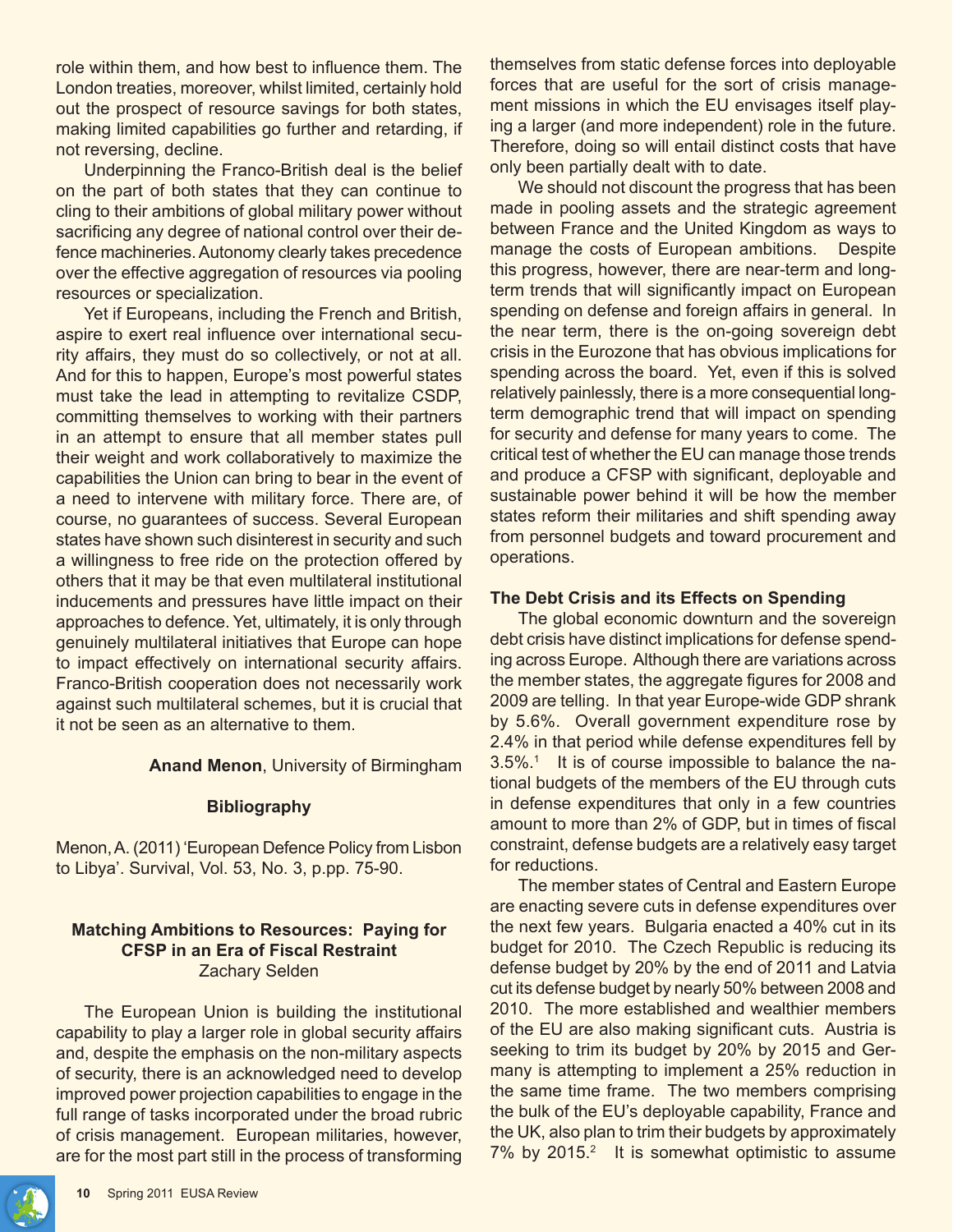role within them, and how best to influence them. The London treaties, moreover, whilst limited, certainly hold out the prospect of resource savings for both states, making limited capabilities go further and retarding, if not reversing, decline.

Underpinning the Franco-British deal is the belief on the part of both states that they can continue to cling to their ambitions of global military power without sacrificing any degree of national control over their defence machineries. Autonomy clearly takes precedence over the effective aggregation of resources via pooling resources or specialization.

Yet if Europeans, including the French and British, aspire to exert real influence over international security affairs, they must do so collectively, or not at all. And for this to happen, Europe's most powerful states must take the lead in attempting to revitalize CSDP, committing themselves to working with their partners in an attempt to ensure that all member states pull their weight and work collaboratively to maximize the capabilities the Union can bring to bear in the event of a need to intervene with military force. There are, of course, no guarantees of success. Several European states have shown such disinterest in security and such a willingness to free ride on the protection offered by others that it may be that even multilateral institutional inducements and pressures have little impact on their approaches to defence. Yet, ultimately, it is only through genuinely multilateral initiatives that Europe can hope to impact effectively on international security affairs. Franco-British cooperation does not necessarily work against such multilateral schemes, but it is crucial that it not be seen as an alternative to them.

**Anand Menon**, University of Birmingham

## **Bibliography**

Menon, A. (2011) 'European Defence Policy from Lisbon to Libya'. Survival, Vol. 53, No. 3, p.pp. 75-90.

## **Matching Ambitions to Resources: Paying for CFSP in an Era of Fiscal Restraint** Zachary Selden

The European Union is building the institutional capability to play a larger role in global security affairs and, despite the emphasis on the non-military aspects of security, there is an acknowledged need to develop improved power projection capabilities to engage in the full range of tasks incorporated under the broad rubric of crisis management. European militaries, however, are for the most part still in the process of transforming themselves from static defense forces into deployable forces that are useful for the sort of crisis management missions in which the EU envisages itself playing a larger (and more independent) role in the future. Therefore, doing so will entail distinct costs that have only been partially dealt with to date.

We should not discount the progress that has been made in pooling assets and the strategic agreement between France and the United Kingdom as ways to manage the costs of European ambitions. Despite this progress, however, there are near-term and longterm trends that will significantly impact on European spending on defense and foreign affairs in general. In the near term, there is the on-going sovereign debt crisis in the Eurozone that has obvious implications for spending across the board. Yet, even if this is solved relatively painlessly, there is a more consequential longterm demographic trend that will impact on spending for security and defense for many years to come. The critical test of whether the EU can manage those trends and produce a CFSP with significant, deployable and sustainable power behind it will be how the member states reform their militaries and shift spending away from personnel budgets and toward procurement and operations.

## **The Debt Crisis and its Effects on Spending**

The global economic downturn and the sovereign debt crisis have distinct implications for defense spending across Europe. Although there are variations across the member states, the aggregate figures for 2008 and 2009 are telling. In that year Europe-wide GDP shrank by 5.6%. Overall government expenditure rose by 2.4% in that period while defense expenditures fell by 3.5%.1 It is of course impossible to balance the national budgets of the members of the EU through cuts in defense expenditures that only in a few countries amount to more than 2% of GDP, but in times of fiscal constraint, defense budgets are a relatively easy target for reductions.

The member states of Central and Eastern Europe are enacting severe cuts in defense expenditures over the next few years. Bulgaria enacted a 40% cut in its budget for 2010. The Czech Republic is reducing its defense budget by 20% by the end of 2011 and Latvia cut its defense budget by nearly 50% between 2008 and 2010. The more established and wealthier members of the EU are also making significant cuts. Austria is seeking to trim its budget by 20% by 2015 and Germany is attempting to implement a 25% reduction in the same time frame. The two members comprising the bulk of the EU's deployable capability, France and the UK, also plan to trim their budgets by approximately 7% by 2015.<sup>2</sup> It is somewhat optimistic to assume

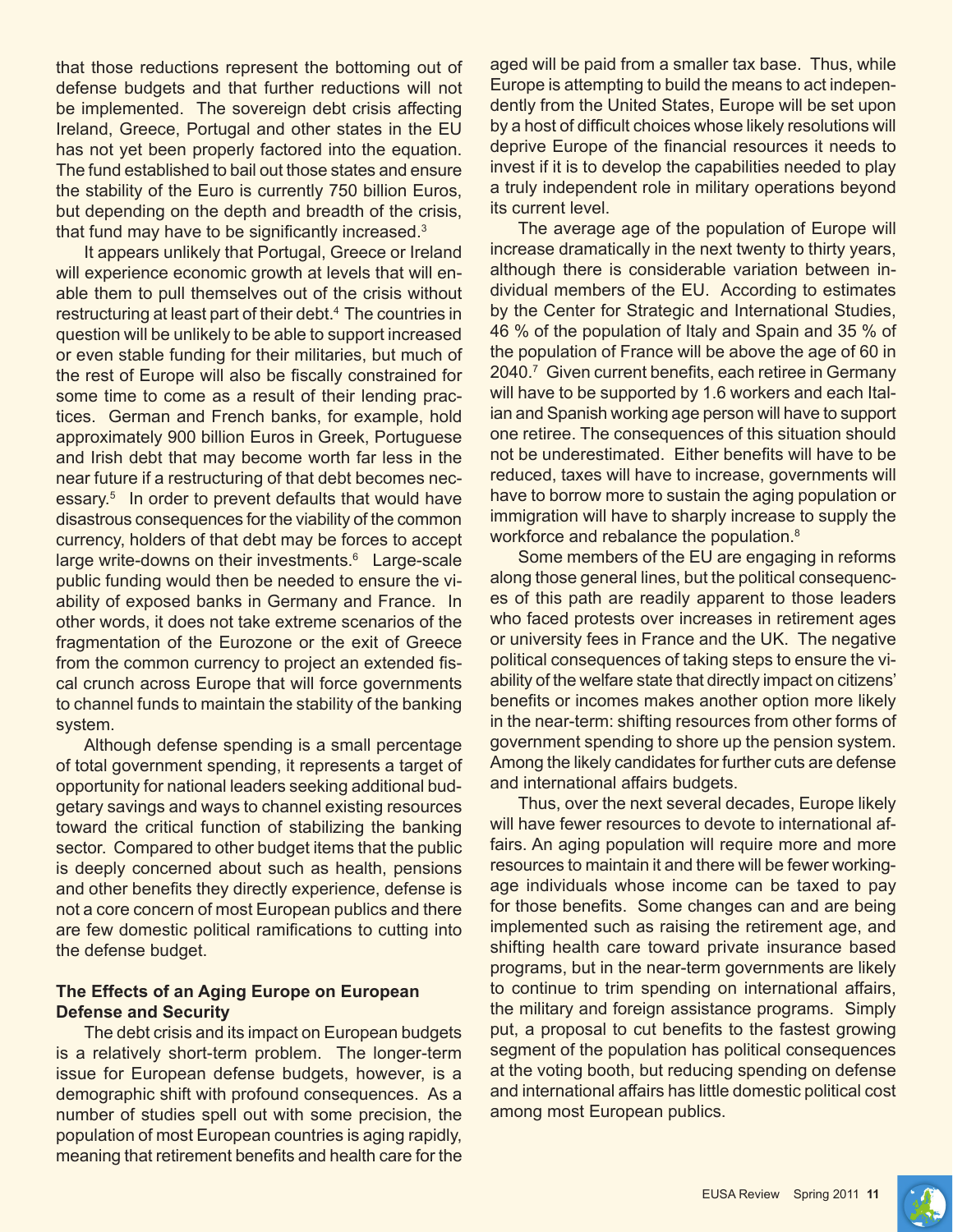defense budgets and that further reductions will not be implemented. The sovereign debt crisis affecting Ireland, Greece, Portugal and other states in the EU has not yet been properly factored into the equation. The fund established to bail out those states and ensure the stability of the Euro is currently 750 billion Euros, but depending on the depth and breadth of the crisis, that fund may have to be significantly increased. $3$ 

It appears unlikely that Portugal, Greece or Ireland will experience economic growth at levels that will enable them to pull themselves out of the crisis without restructuring at least part of their debt.<sup>4</sup> The countries in question will be unlikely to be able to support increased or even stable funding for their militaries, but much of the rest of Europe will also be fiscally constrained for some time to come as a result of their lending practices. German and French banks, for example, hold approximately 900 billion Euros in Greek, Portuguese and Irish debt that may become worth far less in the near future if a restructuring of that debt becomes necessary.<sup>5</sup> In order to prevent defaults that would have disastrous consequences for the viability of the common currency, holders of that debt may be forces to accept large write-downs on their investments.<sup>6</sup> Large-scale public funding would then be needed to ensure the viability of exposed banks in Germany and France. In other words, it does not take extreme scenarios of the fragmentation of the Eurozone or the exit of Greece from the common currency to project an extended fiscal crunch across Europe that will force governments to channel funds to maintain the stability of the banking system.

Although defense spending is a small percentage of total government spending, it represents a target of opportunity for national leaders seeking additional budgetary savings and ways to channel existing resources toward the critical function of stabilizing the banking sector. Compared to other budget items that the public is deeply concerned about such as health, pensions and other benefits they directly experience, defense is not a core concern of most European publics and there are few domestic political ramifications to cutting into the defense budget.

#### **The Effects of an Aging Europe on European Defense and Security**

The debt crisis and its impact on European budgets is a relatively short-term problem. The longer-term issue for European defense budgets, however, is a demographic shift with profound consequences. As a number of studies spell out with some precision, the population of most European countries is aging rapidly, meaning that retirement benefits and health care for the

that those reductions represent the bottoming out of aged will be paid from a smaller tax base. Thus, while Europe is attempting to build the means to act independently from the United States, Europe will be set upon by a host of difficult choices whose likely resolutions will deprive Europe of the financial resources it needs to invest if it is to develop the capabilities needed to play a truly independent role in military operations beyond its current level.

> The average age of the population of Europe will increase dramatically in the next twenty to thirty years, although there is considerable variation between individual members of the EU. According to estimates by the Center for Strategic and International Studies, 46 % of the population of Italy and Spain and 35 % of the population of France will be above the age of 60 in 2040.7 Given current benefits, each retiree in Germany will have to be supported by 1.6 workers and each Italian and Spanish working age person will have to support one retiree. The consequences of this situation should not be underestimated. Either benefits will have to be reduced, taxes will have to increase, governments will have to borrow more to sustain the aging population or immigration will have to sharply increase to supply the workforce and rebalance the population.<sup>8</sup>

> Some members of the EU are engaging in reforms along those general lines, but the political consequences of this path are readily apparent to those leaders who faced protests over increases in retirement ages or university fees in France and the UK. The negative political consequences of taking steps to ensure the viability of the welfare state that directly impact on citizens' benefits or incomes makes another option more likely in the near-term: shifting resources from other forms of government spending to shore up the pension system. Among the likely candidates for further cuts are defense and international affairs budgets.

> Thus, over the next several decades, Europe likely will have fewer resources to devote to international affairs. An aging population will require more and more resources to maintain it and there will be fewer workingage individuals whose income can be taxed to pay for those benefits. Some changes can and are being implemented such as raising the retirement age, and shifting health care toward private insurance based programs, but in the near-term governments are likely to continue to trim spending on international affairs, the military and foreign assistance programs. Simply put, a proposal to cut benefits to the fastest growing segment of the population has political consequences at the voting booth, but reducing spending on defense and international affairs has little domestic political cost among most European publics.

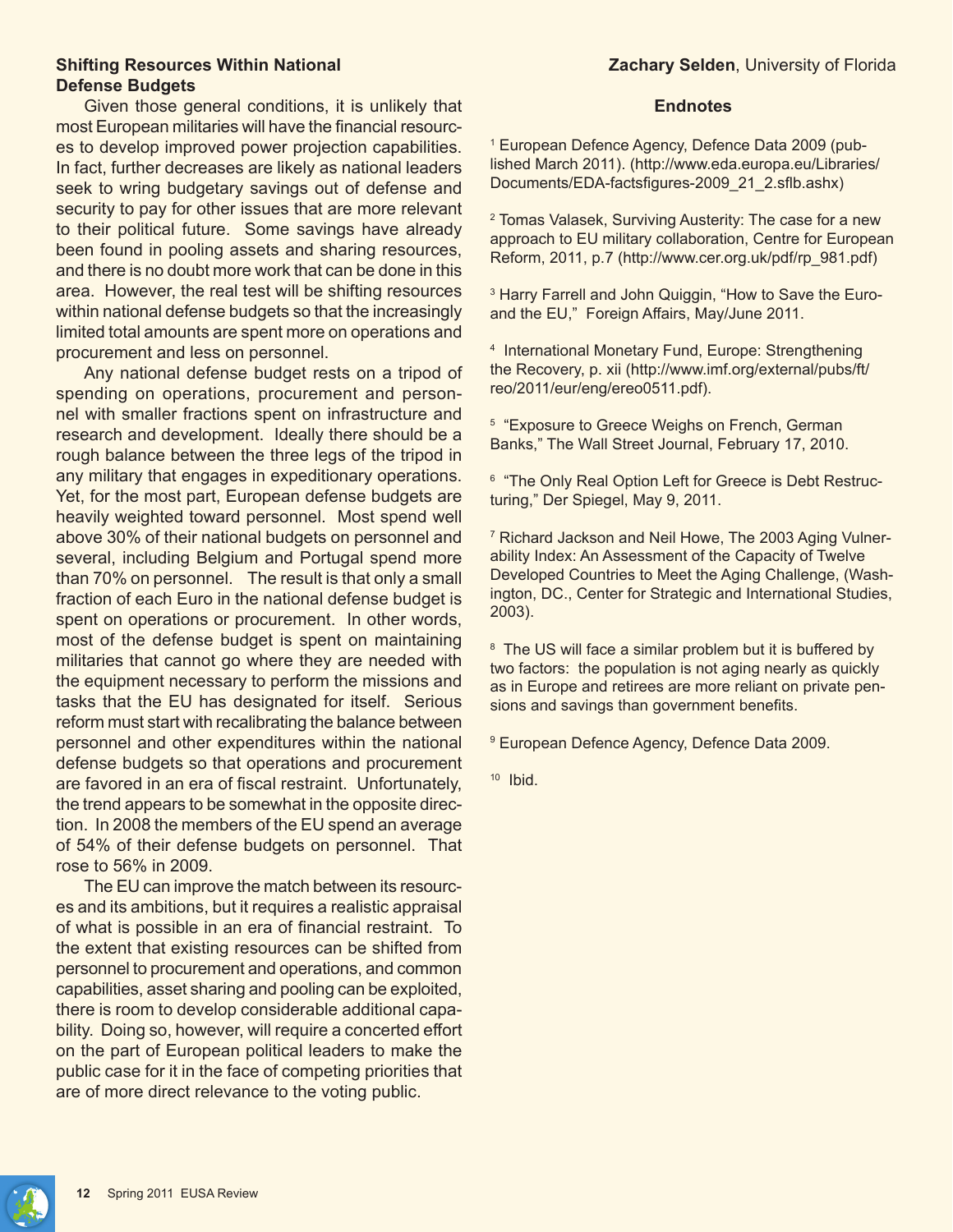### **Shifting Resources Within National Defense Budgets**

Given those general conditions, it is unlikely that most European militaries will have the financial resources to develop improved power projection capabilities. In fact, further decreases are likely as national leaders seek to wring budgetary savings out of defense and security to pay for other issues that are more relevant to their political future. Some savings have already been found in pooling assets and sharing resources, and there is no doubt more work that can be done in this area. However, the real test will be shifting resources within national defense budgets so that the increasingly limited total amounts are spent more on operations and procurement and less on personnel.

Any national defense budget rests on a tripod of spending on operations, procurement and personnel with smaller fractions spent on infrastructure and research and development. Ideally there should be a rough balance between the three legs of the tripod in any military that engages in expeditionary operations. Yet, for the most part, European defense budgets are heavily weighted toward personnel. Most spend well above 30% of their national budgets on personnel and several, including Belgium and Portugal spend more than 70% on personnel. The result is that only a small fraction of each Euro in the national defense budget is spent on operations or procurement. In other words, most of the defense budget is spent on maintaining militaries that cannot go where they are needed with the equipment necessary to perform the missions and tasks that the EU has designated for itself. Serious reform must start with recalibrating the balance between personnel and other expenditures within the national defense budgets so that operations and procurement are favored in an era of fiscal restraint. Unfortunately, the trend appears to be somewhat in the opposite direction. In 2008 the members of the EU spend an average of 54% of their defense budgets on personnel. That rose to 56% in 2009.

The EU can improve the match between its resources and its ambitions, but it requires a realistic appraisal of what is possible in an era of financial restraint. To the extent that existing resources can be shifted from personnel to procurement and operations, and common capabilities, asset sharing and pooling can be exploited, there is room to develop considerable additional capability. Doing so, however, will require a concerted effort on the part of European political leaders to make the public case for it in the face of competing priorities that are of more direct relevance to the voting public.

#### **Endnotes**

1 European Defence Agency, Defence Data 2009 (published March 2011). (http://www.eda.europa.eu/Libraries/ Documents/EDA-factsfigures-2009\_21\_2.sflb.ashx)

2 Tomas Valasek, Surviving Austerity: The case for a new approach to EU military collaboration, Centre for European Reform, 2011, p.7 (http://www.cer.org.uk/pdf/rp\_981.pdf)

3 Harry Farrell and John Quiggin, "How to Save the Euroand the EU," Foreign Affairs, May/June 2011.

4 International Monetary Fund, Europe: Strengthening the Recovery, p. xii (http://www.imf.org/external/pubs/ft/ reo/2011/eur/eng/ereo0511.pdf).

5 "Exposure to Greece Weighs on French, German Banks," The Wall Street Journal, February 17, 2010.

6 "The Only Real Option Left for Greece is Debt Restructuring," Der Spiegel, May 9, 2011.

7 Richard Jackson and Neil Howe, The 2003 Aging Vulnerability Index: An Assessment of the Capacity of Twelve Developed Countries to Meet the Aging Challenge, (Washington, DC., Center for Strategic and International Studies, 2003).

<sup>8</sup> The US will face a similar problem but it is buffered by two factors: the population is not aging nearly as quickly as in Europe and retirees are more reliant on private pensions and savings than government benefits.

9 European Defence Agency, Defence Data 2009.

10 Ibid.

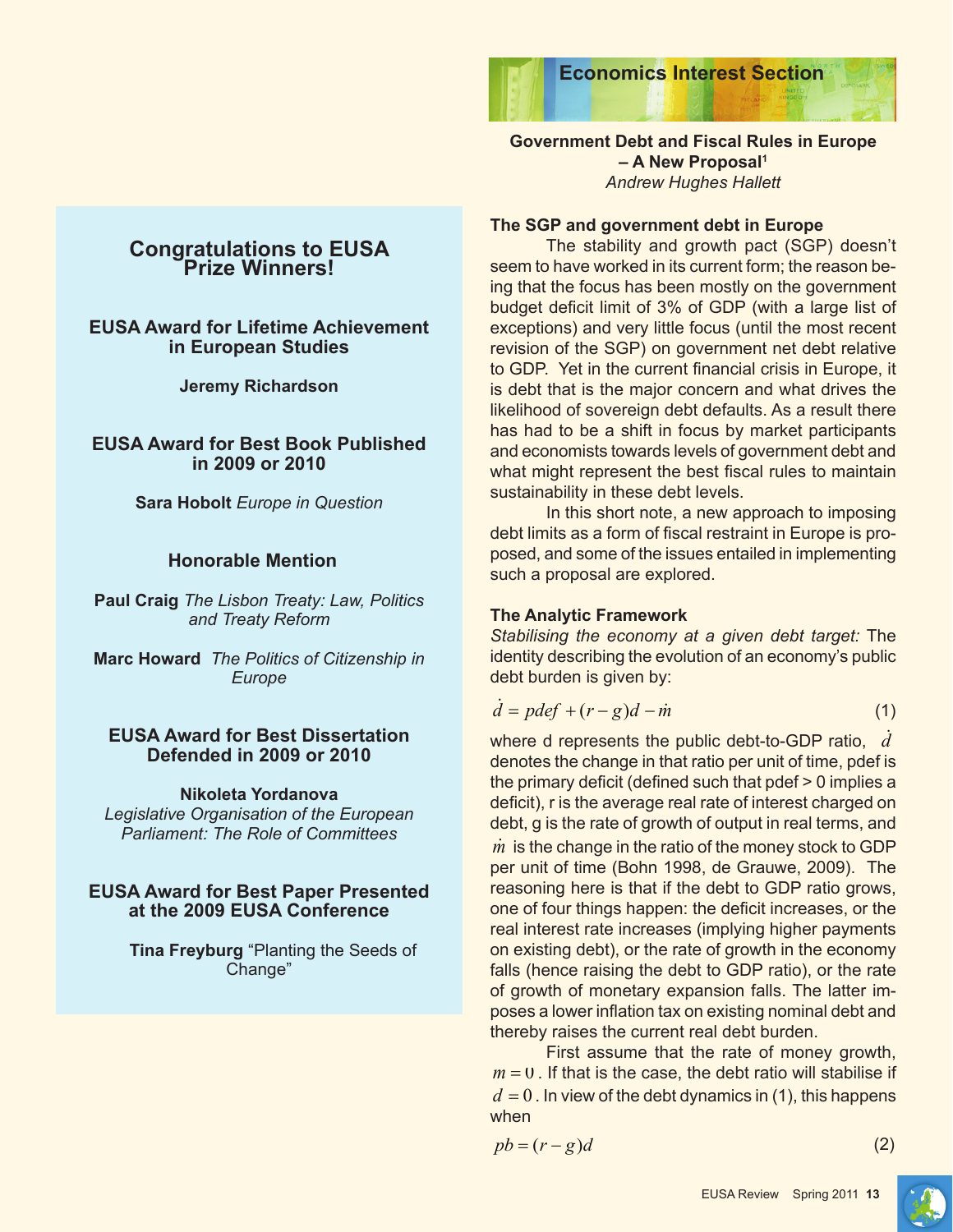

## **Government Debt and Fiscal Rules in Europe – A New Proposal1** *Andrew Hughes Hallett*

## **The SGP and government debt in Europe**

The stability and growth pact (SGP) doesn't seem to have worked in its current form; the reason being that the focus has been mostly on the government budget deficit limit of 3% of GDP (with a large list of exceptions) and very little focus (until the most recent revision of the SGP) on government net debt relative to GDP. Yet in the current financial crisis in Europe, it is debt that is the major concern and what drives the likelihood of sovereign debt defaults. As a result there has had to be a shift in focus by market participants and economists towards levels of government debt and what might represent the best fiscal rules to maintain sustainability in these debt levels.

In this short note, a new approach to imposing debt limits as a form of fiscal restraint in Europe is proposed, and some of the issues entailed in implementing such a proposal are explored.

## **The Analytic Framework**

*Stabilising the economy at a given debt target:* The identity describing the evolution of an economy's public debt burden is given by:

$$
\dot{d} = pdef + (r - g)d - \dot{m} \tag{1}
$$

where d represents the public debt-to-GDP ratio, *d* denotes the change in that ratio per unit of time, pdef is the primary deficit (defined such that pdef > 0 implies a deficit), r is the average real rate of interest charged on debt, g is the rate of growth of output in real terms, and *m* is the change in the ratio of the money stock to GDP per unit of time (Bohn 1998, de Grauwe, 2009). The reasoning here is that if the debt to GDP ratio grows, one of four things happen: the deficit increases, or the real interest rate increases (implying higher payments on existing debt), or the rate of growth in the economy falls (hence raising the debt to GDP ratio), or the rate of growth of monetary expansion falls. The latter imposes a lower inflation tax on existing nominal debt and thereby raises the current real debt burden.

First assume that the rate of money growth,  $m = 0$ . If that is the case, the debt ratio will stabilise if  $d = 0$ . In view of the debt dynamics in (1), this happens when

 $pb = (r - g)d$  (2)

## **Congratulations to EUSA Prize Winners!**

## **EUSA Award for Lifetime Achievement in European Studies**

**Jeremy Richardson**

**EUSA Award for Best Book Published in 2009 or 2010**

**Sara Hobolt** *Europe in Question*

## **Honorable Mention**

**Paul Craig** *The Lisbon Treaty: Law, Politics and Treaty Reform*

**Marc Howard** *The Politics of Citizenship in Europe*

## **EUSA Award for Best Dissertation Defended in 2009 or 2010**

## **Nikoleta Yordanova**

*Legislative Organisation of the European Parliament: The Role of Committees*

## **EUSA Award for Best Paper Presented at the 2009 EUSA Conference**

**Tina Freyburg** "Planting the Seeds of Change"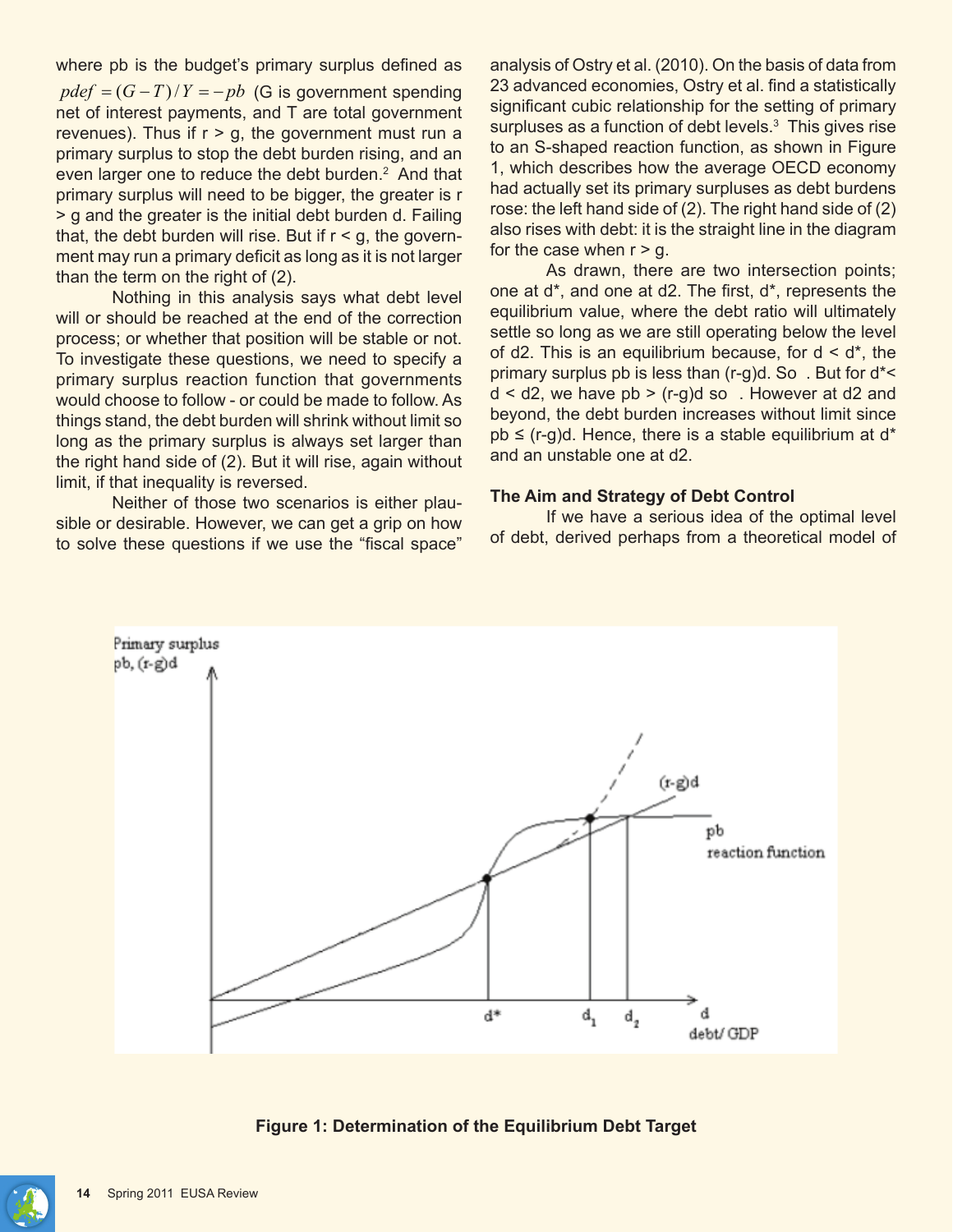where pb is the budget's primary surplus defined as  $pdef = (G-T)/Y = -pb$  (G is government spending net of interest payments, and T are total government revenues). Thus if  $r > g$ , the government must run a primary surplus to stop the debt burden rising, and an even larger one to reduce the debt burden.<sup>2</sup> And that primary surplus will need to be bigger, the greater is r > g and the greater is the initial debt burden d. Failing that, the debt burden will rise. But if  $r < g$ , the government may run a primary deficit as long as it is not larger than the term on the right of (2).

Nothing in this analysis says what debt level will or should be reached at the end of the correction process; or whether that position will be stable or not. To investigate these questions, we need to specify a primary surplus reaction function that governments would choose to follow - or could be made to follow. As things stand, the debt burden will shrink without limit so long as the primary surplus is always set larger than the right hand side of (2). But it will rise, again without limit, if that inequality is reversed.

Neither of those two scenarios is either plausible or desirable. However, we can get a grip on how to solve these questions if we use the "fiscal space"

analysis of Ostry et al. (2010). On the basis of data from 23 advanced economies, Ostry et al. find a statistically significant cubic relationship for the setting of primary surpluses as a function of debt levels.<sup>3</sup> This gives rise to an S-shaped reaction function, as shown in Figure 1, which describes how the average OECD economy had actually set its primary surpluses as debt burdens rose: the left hand side of (2). The right hand side of (2) also rises with debt: it is the straight line in the diagram for the case when  $r > g$ .

As drawn, there are two intersection points; one at d\*, and one at d2. The first, d\*, represents the equilibrium value, where the debt ratio will ultimately settle so long as we are still operating below the level of d2. This is an equilibrium because, for  $d < d^*$ , the primary surplus pb is less than (r-g)d. So . But for d\*<  $d < d$ 2, we have pb > (r-g)d so. However at d2 and beyond, the debt burden increases without limit since  $pb \leq (r-g)d$ . Hence, there is a stable equilibrium at d\* and an unstable one at d2.

#### **The Aim and Strategy of Debt Control**

If we have a serious idea of the optimal level of debt, derived perhaps from a theoretical model of



**Figure 1: Determination of the Equilibrium Debt Target**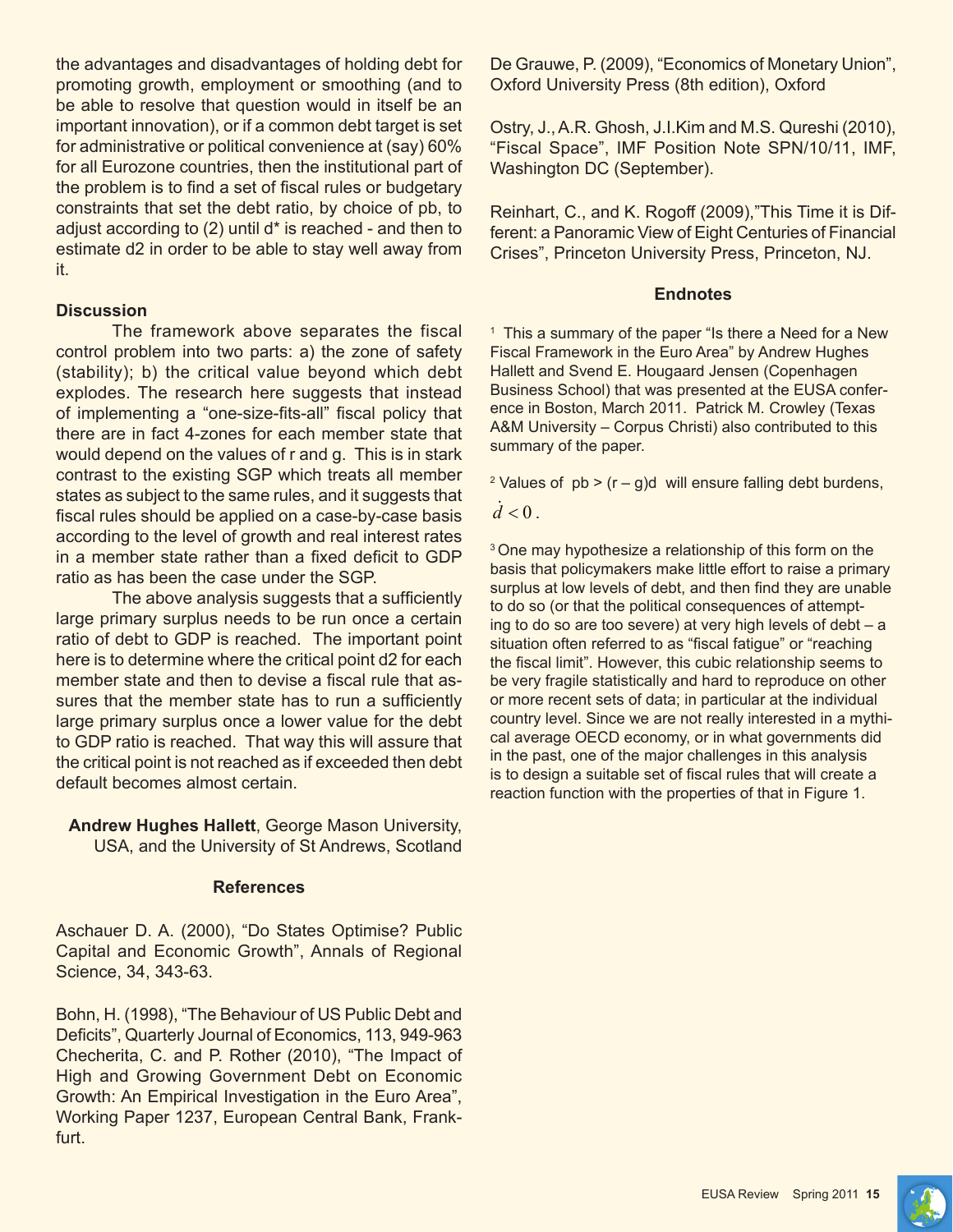the advantages and disadvantages of holding debt for promoting growth, employment or smoothing (and to be able to resolve that question would in itself be an important innovation), or if a common debt target is set for administrative or political convenience at (say) 60% for all Eurozone countries, then the institutional part of the problem is to find a set of fiscal rules or budgetary constraints that set the debt ratio, by choice of pb, to adjust according to (2) until d\* is reached - and then to estimate d2 in order to be able to stay well away from it.

#### **Discussion**

The framework above separates the fiscal control problem into two parts: a) the zone of safety (stability); b) the critical value beyond which debt explodes. The research here suggests that instead of implementing a "one-size-fits-all" fiscal policy that there are in fact 4-zones for each member state that would depend on the values of r and g. This is in stark contrast to the existing SGP which treats all member states as subject to the same rules, and it suggests that fiscal rules should be applied on a case-by-case basis according to the level of growth and real interest rates in a member state rather than a fixed deficit to GDP ratio as has been the case under the SGP.

The above analysis suggests that a sufficiently large primary surplus needs to be run once a certain ratio of debt to GDP is reached. The important point here is to determine where the critical point d2 for each member state and then to devise a fiscal rule that assures that the member state has to run a sufficiently large primary surplus once a lower value for the debt to GDP ratio is reached. That way this will assure that the critical point is not reached as if exceeded then debt default becomes almost certain.

**Andrew Hughes Hallett**, George Mason University, USA, and the University of St Andrews, Scotland

## **References**

Aschauer D. A. (2000), "Do States Optimise? Public Capital and Economic Growth", Annals of Regional Science, 34, 343-63.

Bohn, H. (1998), "The Behaviour of US Public Debt and Deficits", Quarterly Journal of Economics, 113, 949-963 Checherita, C. and P. Rother (2010), "The Impact of High and Growing Government Debt on Economic Growth: An Empirical Investigation in the Euro Area", Working Paper 1237, European Central Bank, Frankfurt.

De Grauwe, P. (2009), "Economics of Monetary Union", Oxford University Press (8th edition), Oxford

Ostry, J., A.R. Ghosh, J.I.Kim and M.S. Qureshi (2010), "Fiscal Space", IMF Position Note SPN/10/11, IMF, Washington DC (September).

Reinhart, C., and K. Rogoff (2009),"This Time it is Different: a Panoramic View of Eight Centuries of Financial Crises", Princeton University Press, Princeton, NJ.

### **Endnotes**

1 This a summary of the paper "Is there a Need for a New Fiscal Framework in the Euro Area" by Andrew Hughes Hallett and Svend E. Hougaard Jensen (Copenhagen Business School) that was presented at the EUSA conference in Boston, March 2011. Patrick M. Crowley (Texas A&M University – Corpus Christi) also contributed to this summary of the paper.

<sup>2</sup> Values of  $pb$  > (r – g)d will ensure falling debt burdens,

 $\dot{d}$  < 0 .

<sup>3</sup> One may hypothesize a relationship of this form on the basis that policymakers make little effort to raise a primary surplus at low levels of debt, and then find they are unable to do so (or that the political consequences of attempting to do so are too severe) at very high levels of debt – a situation often referred to as "fiscal fatigue" or "reaching the fiscal limit". However, this cubic relationship seems to be very fragile statistically and hard to reproduce on other or more recent sets of data; in particular at the individual country level. Since we are not really interested in a mythical average OECD economy, or in what governments did in the past, one of the major challenges in this analysis is to design a suitable set of fiscal rules that will create a reaction function with the properties of that in Figure 1.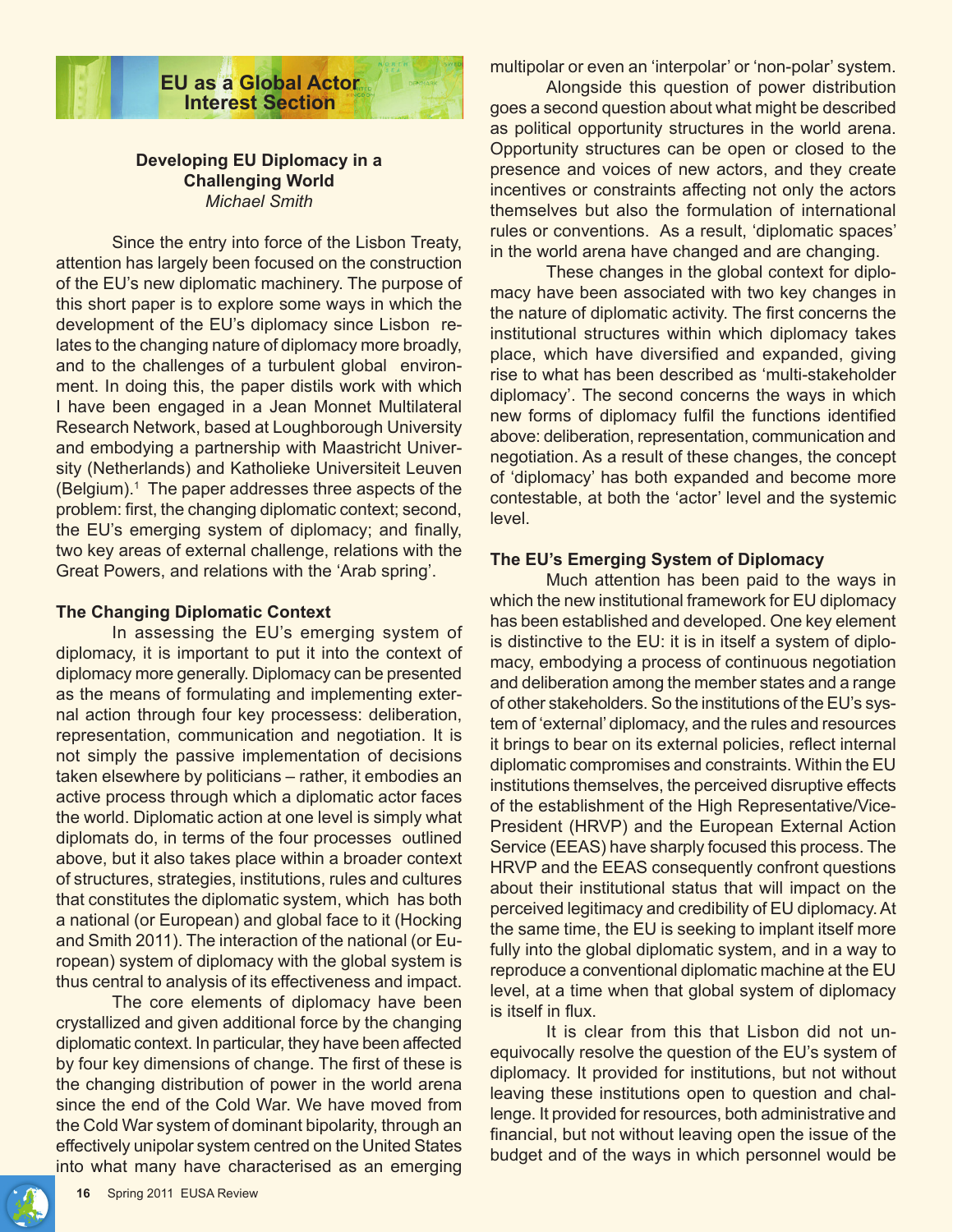

### **Developing EU Diplomacy in a Challenging World** *Michael Smith*

Since the entry into force of the Lisbon Treaty, attention has largely been focused on the construction of the EU's new diplomatic machinery. The purpose of this short paper is to explore some ways in which the development of the EU's diplomacy since Lisbon relates to the changing nature of diplomacy more broadly, and to the challenges of a turbulent global environment. In doing this, the paper distils work with which I have been engaged in a Jean Monnet Multilateral Research Network, based at Loughborough University and embodying a partnership with Maastricht University (Netherlands) and Katholieke Universiteit Leuven (Belgium).1 The paper addresses three aspects of the problem: first, the changing diplomatic context; second, the EU's emerging system of diplomacy; and finally, two key areas of external challenge, relations with the Great Powers, and relations with the 'Arab spring'.

#### **The Changing Diplomatic Context**

In assessing the EU's emerging system of diplomacy, it is important to put it into the context of diplomacy more generally. Diplomacy can be presented as the means of formulating and implementing external action through four key processess: deliberation, representation, communication and negotiation. It is not simply the passive implementation of decisions taken elsewhere by politicians – rather, it embodies an active process through which a diplomatic actor faces the world. Diplomatic action at one level is simply what diplomats do, in terms of the four processes outlined above, but it also takes place within a broader context of structures, strategies, institutions, rules and cultures that constitutes the diplomatic system, which has both a national (or European) and global face to it (Hocking and Smith 2011). The interaction of the national (or European) system of diplomacy with the global system is thus central to analysis of its effectiveness and impact.

The core elements of diplomacy have been crystallized and given additional force by the changing diplomatic context. In particular, they have been affected by four key dimensions of change. The first of these is the changing distribution of power in the world arena since the end of the Cold War. We have moved from the Cold War system of dominant bipolarity, through an effectively unipolar system centred on the United States into what many have characterised as an emerging

multipolar or even an 'interpolar' or 'non-polar' system.

Alongside this question of power distribution goes a second question about what might be described as political opportunity structures in the world arena. Opportunity structures can be open or closed to the presence and voices of new actors, and they create incentives or constraints affecting not only the actors themselves but also the formulation of international rules or conventions. As a result, 'diplomatic spaces' in the world arena have changed and are changing.

These changes in the global context for diplomacy have been associated with two key changes in the nature of diplomatic activity. The first concerns the institutional structures within which diplomacy takes place, which have diversified and expanded, giving rise to what has been described as 'multi-stakeholder diplomacy'. The second concerns the ways in which new forms of diplomacy fulfil the functions identified above: deliberation, representation, communication and negotiation. As a result of these changes, the concept of 'diplomacy' has both expanded and become more contestable, at both the 'actor' level and the systemic level.

#### **The EU's Emerging System of Diplomacy**

Much attention has been paid to the ways in which the new institutional framework for EU diplomacy has been established and developed. One key element is distinctive to the EU: it is in itself a system of diplomacy, embodying a process of continuous negotiation and deliberation among the member states and a range of other stakeholders. So the institutions of the EU's system of 'external' diplomacy, and the rules and resources it brings to bear on its external policies, reflect internal diplomatic compromises and constraints. Within the EU institutions themselves, the perceived disruptive effects of the establishment of the High Representative/Vice-President (HRVP) and the European External Action Service (EEAS) have sharply focused this process. The HRVP and the EEAS consequently confront questions about their institutional status that will impact on the perceived legitimacy and credibility of EU diplomacy. At the same time, the EU is seeking to implant itself more fully into the global diplomatic system, and in a way to reproduce a conventional diplomatic machine at the EU level, at a time when that global system of diplomacy is itself in flux.

It is clear from this that Lisbon did not unequivocally resolve the question of the EU's system of diplomacy. It provided for institutions, but not without leaving these institutions open to question and challenge. It provided for resources, both administrative and financial, but not without leaving open the issue of the budget and of the ways in which personnel would be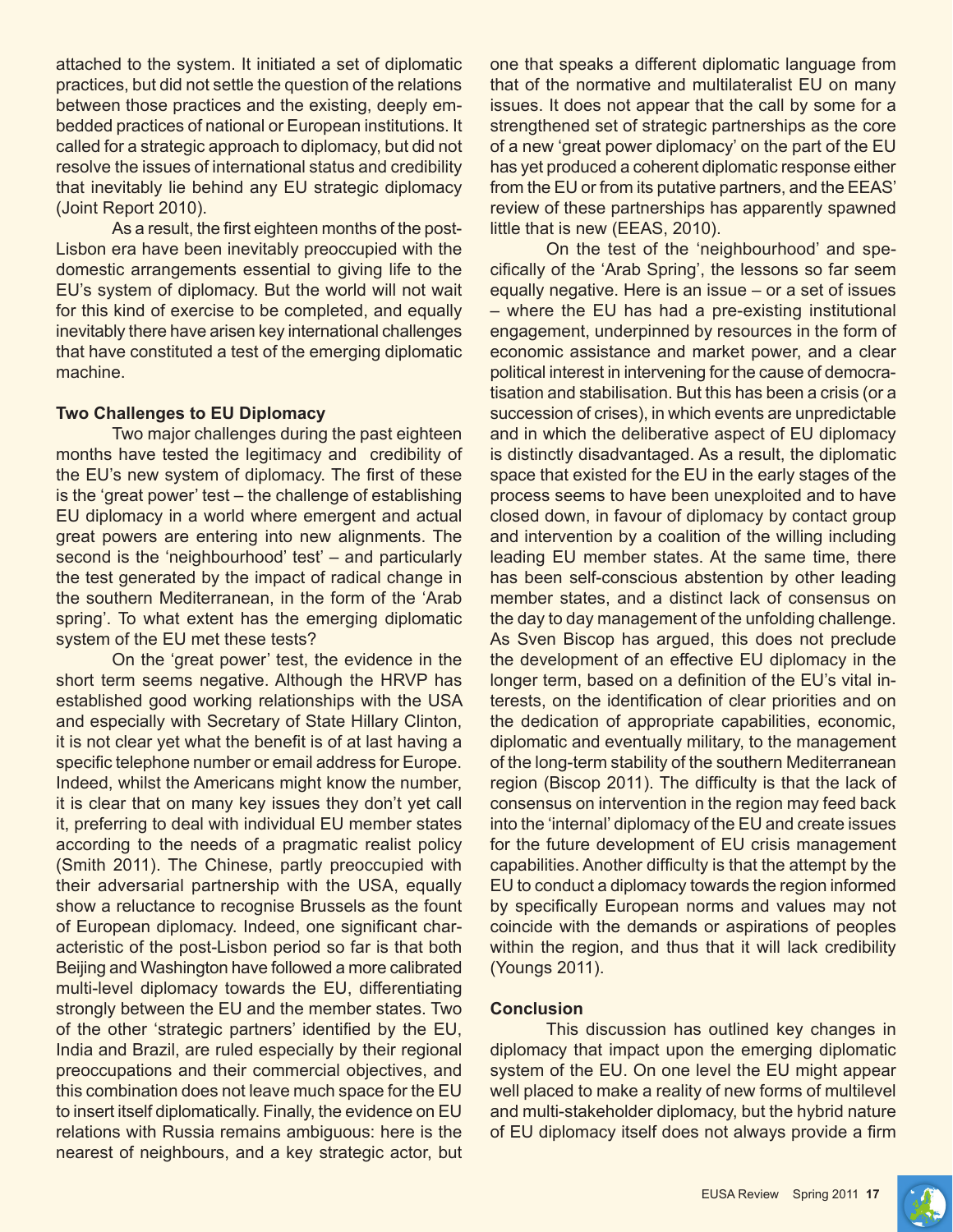attached to the system. It initiated a set of diplomatic practices, but did not settle the question of the relations between those practices and the existing, deeply embedded practices of national or European institutions. It called for a strategic approach to diplomacy, but did not resolve the issues of international status and credibility that inevitably lie behind any EU strategic diplomacy (Joint Report 2010).

As a result, the first eighteen months of the post-Lisbon era have been inevitably preoccupied with the domestic arrangements essential to giving life to the EU's system of diplomacy. But the world will not wait for this kind of exercise to be completed, and equally inevitably there have arisen key international challenges that have constituted a test of the emerging diplomatic machine.

#### **Two Challenges to EU Diplomacy**

Two major challenges during the past eighteen months have tested the legitimacy and credibility of the EU's new system of diplomacy. The first of these is the 'great power' test – the challenge of establishing EU diplomacy in a world where emergent and actual great powers are entering into new alignments. The second is the 'neighbourhood' test' – and particularly the test generated by the impact of radical change in the southern Mediterranean, in the form of the 'Arab spring'. To what extent has the emerging diplomatic system of the EU met these tests?

On the 'great power' test, the evidence in the short term seems negative. Although the HRVP has established good working relationships with the USA and especially with Secretary of State Hillary Clinton, it is not clear yet what the benefit is of at last having a specific telephone number or email address for Europe. Indeed, whilst the Americans might know the number, it is clear that on many key issues they don't yet call it, preferring to deal with individual EU member states according to the needs of a pragmatic realist policy (Smith 2011). The Chinese, partly preoccupied with their adversarial partnership with the USA, equally show a reluctance to recognise Brussels as the fount of European diplomacy. Indeed, one significant characteristic of the post-Lisbon period so far is that both Beijing and Washington have followed a more calibrated multi-level diplomacy towards the EU, differentiating strongly between the EU and the member states. Two of the other 'strategic partners' identified by the EU, India and Brazil, are ruled especially by their regional preoccupations and their commercial objectives, and this combination does not leave much space for the EU to insert itself diplomatically. Finally, the evidence on EU relations with Russia remains ambiguous: here is the nearest of neighbours, and a key strategic actor, but one that speaks a different diplomatic language from that of the normative and multilateralist EU on many issues. It does not appear that the call by some for a strengthened set of strategic partnerships as the core of a new 'great power diplomacy' on the part of the EU has yet produced a coherent diplomatic response either from the EU or from its putative partners, and the EEAS' review of these partnerships has apparently spawned little that is new (EEAS, 2010).

On the test of the 'neighbourhood' and specifically of the 'Arab Spring', the lessons so far seem equally negative. Here is an issue – or a set of issues – where the EU has had a pre-existing institutional engagement, underpinned by resources in the form of economic assistance and market power, and a clear political interest in intervening for the cause of democratisation and stabilisation. But this has been a crisis (or a succession of crises), in which events are unpredictable and in which the deliberative aspect of EU diplomacy is distinctly disadvantaged. As a result, the diplomatic space that existed for the EU in the early stages of the process seems to have been unexploited and to have closed down, in favour of diplomacy by contact group and intervention by a coalition of the willing including leading EU member states. At the same time, there has been self-conscious abstention by other leading member states, and a distinct lack of consensus on the day to day management of the unfolding challenge. As Sven Biscop has argued, this does not preclude the development of an effective EU diplomacy in the longer term, based on a definition of the EU's vital interests, on the identification of clear priorities and on the dedication of appropriate capabilities, economic, diplomatic and eventually military, to the management of the long-term stability of the southern Mediterranean region (Biscop 2011). The difficulty is that the lack of consensus on intervention in the region may feed back into the 'internal' diplomacy of the EU and create issues for the future development of EU crisis management capabilities. Another difficulty is that the attempt by the EU to conduct a diplomacy towards the region informed by specifically European norms and values may not coincide with the demands or aspirations of peoples within the region, and thus that it will lack credibility (Youngs 2011).

#### **Conclusion**

This discussion has outlined key changes in diplomacy that impact upon the emerging diplomatic system of the EU. On one level the EU might appear well placed to make a reality of new forms of multilevel and multi-stakeholder diplomacy, but the hybrid nature of EU diplomacy itself does not always provide a firm

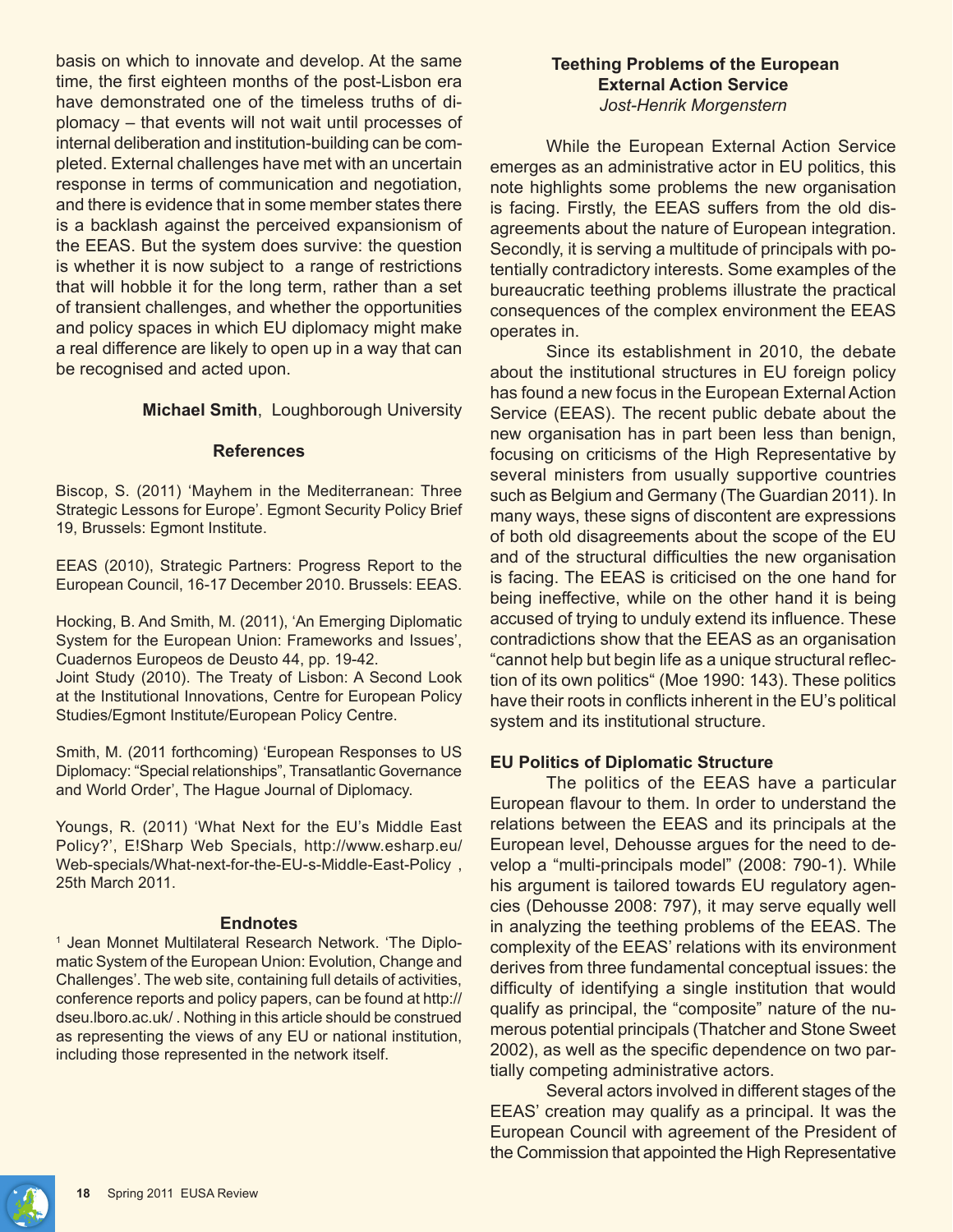basis on which to innovate and develop. At the same time, the first eighteen months of the post-Lisbon era have demonstrated one of the timeless truths of diplomacy – that events will not wait until processes of internal deliberation and institution-building can be completed. External challenges have met with an uncertain response in terms of communication and negotiation, and there is evidence that in some member states there is a backlash against the perceived expansionism of the EEAS. But the system does survive: the question is whether it is now subject to a range of restrictions that will hobble it for the long term, rather than a set of transient challenges, and whether the opportunities and policy spaces in which EU diplomacy might make a real difference are likely to open up in a way that can be recognised and acted upon.

## **Michael Smith**, Loughborough University

#### **References**

Biscop, S. (2011) 'Mayhem in the Mediterranean: Three Strategic Lessons for Europe'. Egmont Security Policy Brief 19, Brussels: Egmont Institute.

EEAS (2010), Strategic Partners: Progress Report to the European Council, 16-17 December 2010. Brussels: EEAS.

Hocking, B. And Smith, M. (2011), 'An Emerging Diplomatic System for the European Union: Frameworks and Issues', Cuadernos Europeos de Deusto 44, pp. 19-42.

Joint Study (2010). The Treaty of Lisbon: A Second Look at the Institutional Innovations, Centre for European Policy Studies/Egmont Institute/European Policy Centre.

Smith, M. (2011 forthcoming) 'European Responses to US Diplomacy: "Special relationships", Transatlantic Governance and World Order', The Hague Journal of Diplomacy.

Youngs, R. (2011) 'What Next for the EU's Middle East Policy?', E!Sharp Web Specials, http://www.esharp.eu/ Web-specials/What-next-for-the-EU-s-Middle-East-Policy , 25th March 2011.

#### **Endnotes**

<sup>1</sup> Jean Monnet Multilateral Research Network. 'The Diplomatic System of the European Union: Evolution, Change and Challenges'. The web site, containing full details of activities, conference reports and policy papers, can be found at http:// dseu.lboro.ac.uk/ . Nothing in this article should be construed as representing the views of any EU or national institution, including those represented in the network itself.

## **Teething Problems of the European External Action Service** *Jost-Henrik Morgenstern*

While the European External Action Service emerges as an administrative actor in EU politics, this note highlights some problems the new organisation is facing. Firstly, the EEAS suffers from the old disagreements about the nature of European integration. Secondly, it is serving a multitude of principals with potentially contradictory interests. Some examples of the bureaucratic teething problems illustrate the practical consequences of the complex environment the EEAS operates in.

Since its establishment in 2010, the debate about the institutional structures in EU foreign policy has found a new focus in the European External Action Service (EEAS). The recent public debate about the new organisation has in part been less than benign, focusing on criticisms of the High Representative by several ministers from usually supportive countries such as Belgium and Germany (The Guardian 2011). In many ways, these signs of discontent are expressions of both old disagreements about the scope of the EU and of the structural difficulties the new organisation is facing. The EEAS is criticised on the one hand for being ineffective, while on the other hand it is being accused of trying to unduly extend its influence. These contradictions show that the EEAS as an organisation "cannot help but begin life as a unique structural reflection of its own politics" (Moe 1990: 143). These politics have their roots in conflicts inherent in the EU's political system and its institutional structure.

## **EU Politics of Diplomatic Structure**

The politics of the EEAS have a particular European flavour to them. In order to understand the relations between the EEAS and its principals at the European level, Dehousse argues for the need to develop a "multi-principals model" (2008: 790-1). While his argument is tailored towards EU regulatory agencies (Dehousse 2008: 797), it may serve equally well in analyzing the teething problems of the EEAS. The complexity of the EEAS' relations with its environment derives from three fundamental conceptual issues: the difficulty of identifying a single institution that would qualify as principal, the "composite" nature of the numerous potential principals (Thatcher and Stone Sweet 2002), as well as the specific dependence on two partially competing administrative actors.

Several actors involved in different stages of the EEAS' creation may qualify as a principal. It was the European Council with agreement of the President of the Commission that appointed the High Representative

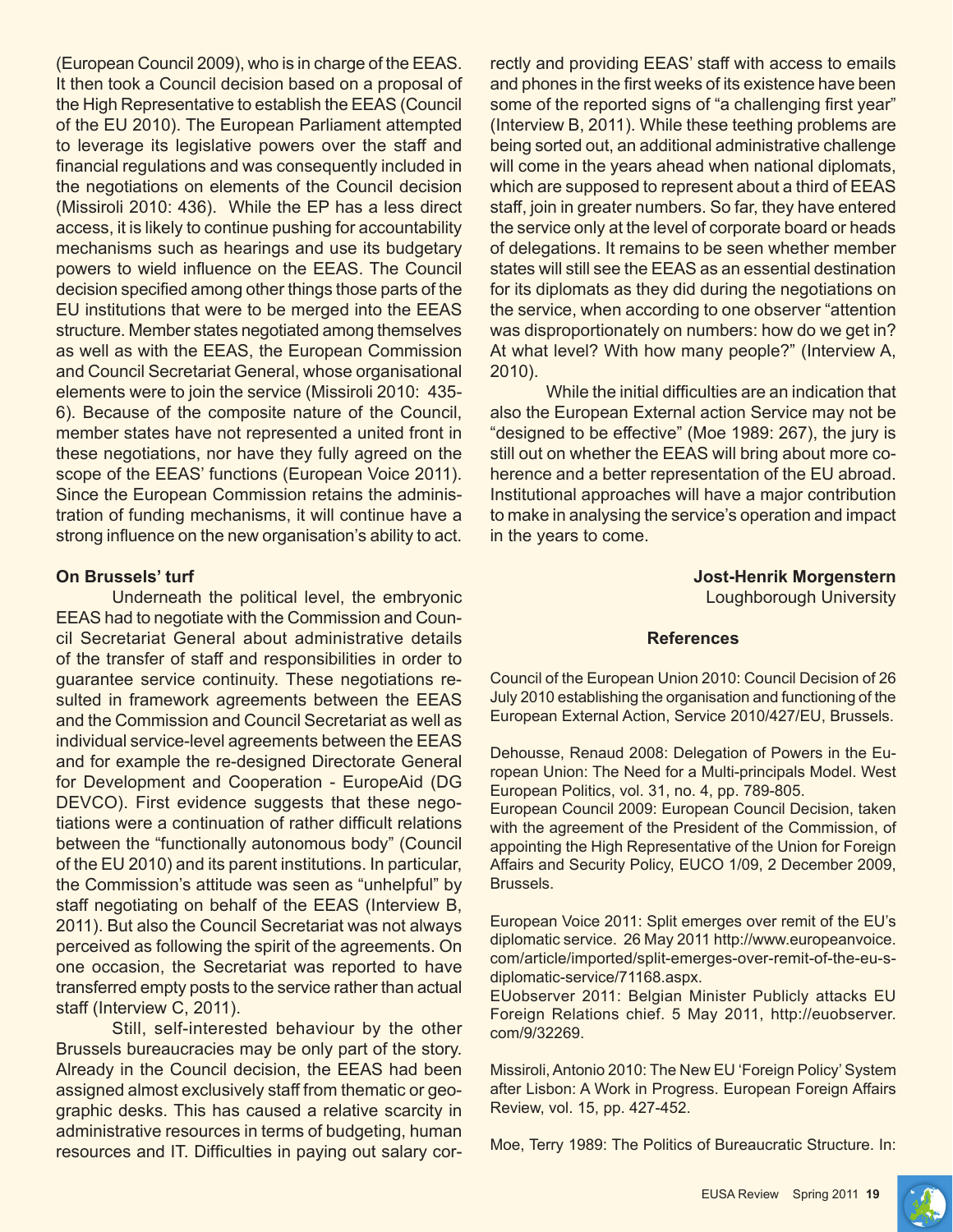(European Council 2009), who is in charge of the EEAS. It then took a Council decision based on a proposal of the High Representative to establish the EEAS (Council of the EU 2010). The European Parliament attempted to leverage its legislative powers over the staff and financial regulations and was consequently included in the negotiations on elements of the Council decision (Missiroli 2010: 436). While the EP has a less direct access, it is likely to continue pushing for accountability mechanisms such as hearings and use its budgetary powers to wield influence on the EEAS. The Council decision specified among other things those parts of the EU institutions that were to be merged into the EEAS structure. Member states negotiated among themselves as well as with the EEAS, the European Commission and Council Secretariat General, whose organisational elements were to join the service (Missiroli 2010: 435- 6). Because of the composite nature of the Council, member states have not represented a united front in these negotiations, nor have they fully agreed on the scope of the EEAS' functions (European Voice 2011). Since the European Commission retains the administration of funding mechanisms, it will continue have a strong influence on the new organisation's ability to act.

#### **On Brussels' turf**

Underneath the political level, the embryonic EEAS had to negotiate with the Commission and Council Secretariat General about administrative details of the transfer of staff and responsibilities in order to guarantee service continuity. These negotiations resulted in framework agreements between the EEAS and the Commission and Council Secretariat as well as individual service-level agreements between the EEAS and for example the re-designed Directorate General for Development and Cooperation - EuropeAid (DG DEVCO). First evidence suggests that these negotiations were a continuation of rather difficult relations between the "functionally autonomous body" (Council of the EU 2010) and its parent institutions. In particular, the Commission's attitude was seen as "unhelpful" by staff negotiating on behalf of the EEAS (Interview B, 2011). But also the Council Secretariat was not always perceived as following the spirit of the agreements. On one occasion, the Secretariat was reported to have transferred empty posts to the service rather than actual staff (Interview C, 2011).

Still, self-interested behaviour by the other Brussels bureaucracies may be only part of the story. Already in the Council decision, the EEAS had been assigned almost exclusively staff from thematic or geographic desks. This has caused a relative scarcity in administrative resources in terms of budgeting, human resources and IT. Difficulties in paying out salary correctly and providing EEAS' staff with access to emails and phones in the first weeks of its existence have been some of the reported signs of "a challenging first year" (Interview B, 2011). While these teething problems are being sorted out, an additional administrative challenge will come in the years ahead when national diplomats, which are supposed to represent about a third of EEAS staff, join in greater numbers. So far, they have entered the service only at the level of corporate board or heads of delegations. It remains to be seen whether member states will still see the EEAS as an essential destination for its diplomats as they did during the negotiations on the service, when according to one observer "attention was disproportionately on numbers: how do we get in? At what level? With how many people?" (Interview A, 2010).

While the initial difficulties are an indication that also the European External action Service may not be "designed to be effective" (Moe 1989: 267), the jury is still out on whether the EEAS will bring about more coherence and a better representation of the EU abroad. Institutional approaches will have a major contribution to make in analysing the service's operation and impact in the years to come.

> **Jost-Henrik Morgenstern** Loughborough University

#### **References**

Council of the European Union 2010: Council Decision of 26 July 2010 establishing the organisation and functioning of the European External Action, Service 2010/427/EU, Brussels.

Dehousse, Renaud 2008: Delegation of Powers in the European Union: The Need for a Multi-principals Model. West European Politics, vol. 31, no. 4, pp. 789-805.

European Council 2009: European Council Decision, taken with the agreement of the President of the Commission, of appointing the High Representative of the Union for Foreign Affairs and Security Policy, EUCO 1/09, 2 December 2009, Brussels.

European Voice 2011: Split emerges over remit of the EU's diplomatic service. 26 May 2011 http://www.europeanvoice. com/article/imported/split-emerges-over-remit-of-the-eu-sdiplomatic-service/71168.aspx.

EUobserver 2011: Belgian Minister Publicly attacks EU Foreign Relations chief. 5 May 2011, http://euobserver. com/9/32269.

Missiroli, Antonio 2010: The New EU 'Foreign Policy' System after Lisbon: A Work in Progress. European Foreign Affairs Review, vol. 15, pp. 427-452.

Moe, Terry 1989: The Politics of Bureaucratic Structure. In:

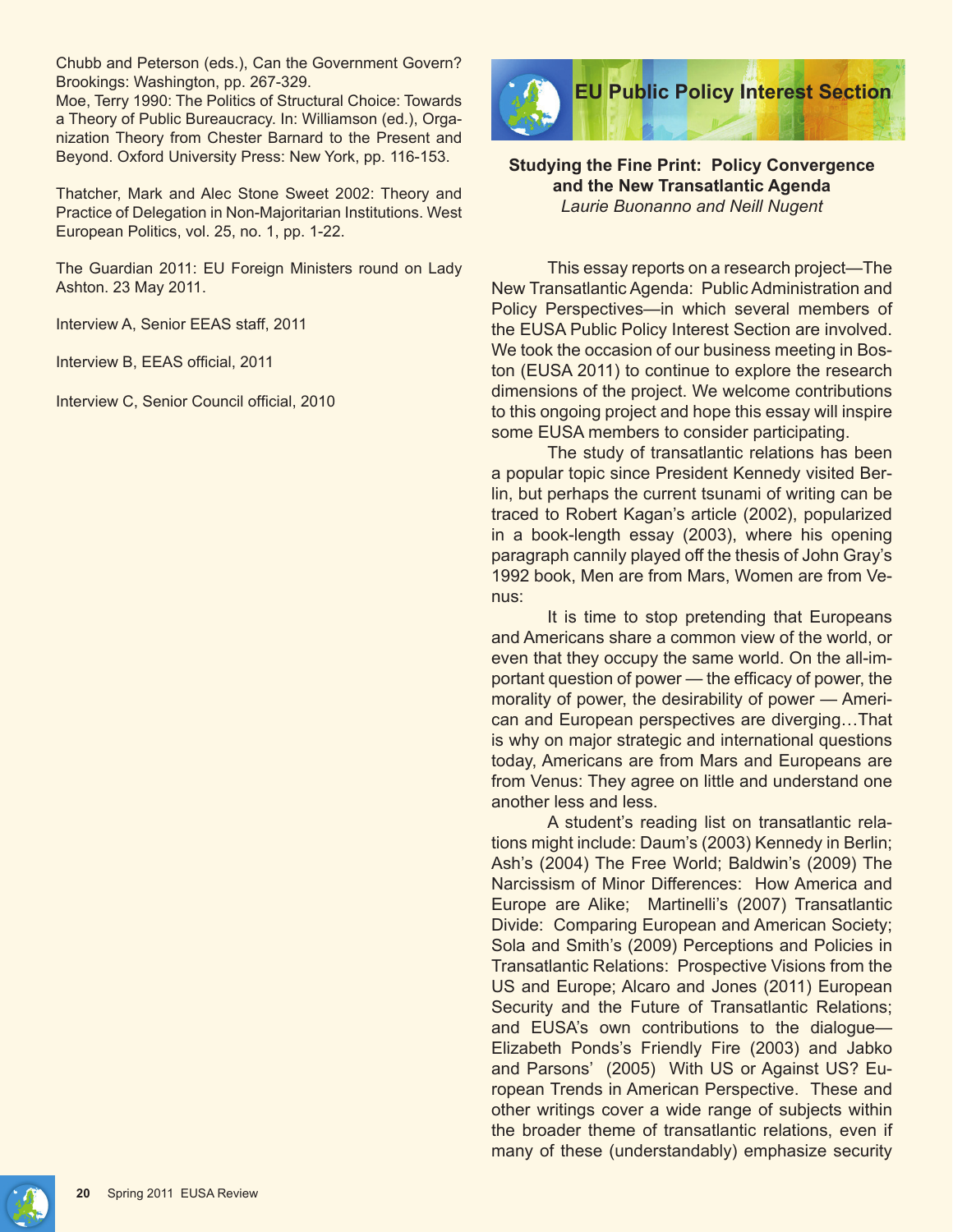Chubb and Peterson (eds.), Can the Government Govern? Brookings: Washington, pp. 267-329.

Moe, Terry 1990: The Politics of Structural Choice: Towards a Theory of Public Bureaucracy. In: Williamson (ed.), Organization Theory from Chester Barnard to the Present and Beyond. Oxford University Press: New York, pp. 116-153.

Thatcher, Mark and Alec Stone Sweet 2002: Theory and Practice of Delegation in Non-Majoritarian Institutions. West European Politics, vol. 25, no. 1, pp. 1-22.

The Guardian 2011: EU Foreign Ministers round on Lady Ashton. 23 May 2011.

Interview A, Senior EEAS staff, 2011

Interview B, EEAS official, 2011

Interview C, Senior Council official, 2010



**Studying the Fine Print: Policy Convergence and the New Transatlantic Agenda** *Laurie Buonanno and Neill Nugent*

This essay reports on a research project—The New Transatlantic Agenda: Public Administration and Policy Perspectives—in which several members of the EUSA Public Policy Interest Section are involved. We took the occasion of our business meeting in Boston (EUSA 2011) to continue to explore the research dimensions of the project. We welcome contributions to this ongoing project and hope this essay will inspire some EUSA members to consider participating.

The study of transatlantic relations has been a popular topic since President Kennedy visited Berlin, but perhaps the current tsunami of writing can be traced to Robert Kagan's article (2002), popularized in a book-length essay (2003), where his opening paragraph cannily played off the thesis of John Gray's 1992 book, Men are from Mars, Women are from Venus:

It is time to stop pretending that Europeans and Americans share a common view of the world, or even that they occupy the same world. On the all-important question of power — the efficacy of power, the morality of power, the desirability of power — American and European perspectives are diverging…That is why on major strategic and international questions today, Americans are from Mars and Europeans are from Venus: They agree on little and understand one another less and less.

A student's reading list on transatlantic relations might include: Daum's (2003) Kennedy in Berlin; Ash's (2004) The Free World; Baldwin's (2009) The Narcissism of Minor Differences: How America and Europe are Alike; Martinelli's (2007) Transatlantic Divide: Comparing European and American Society; Sola and Smith's (2009) Perceptions and Policies in Transatlantic Relations: Prospective Visions from the US and Europe; Alcaro and Jones (2011) European Security and the Future of Transatlantic Relations; and EUSA's own contributions to the dialogue— Elizabeth Ponds's Friendly Fire (2003) and Jabko and Parsons' (2005) With US or Against US? European Trends in American Perspective. These and other writings cover a wide range of subjects within the broader theme of transatlantic relations, even if many of these (understandably) emphasize security

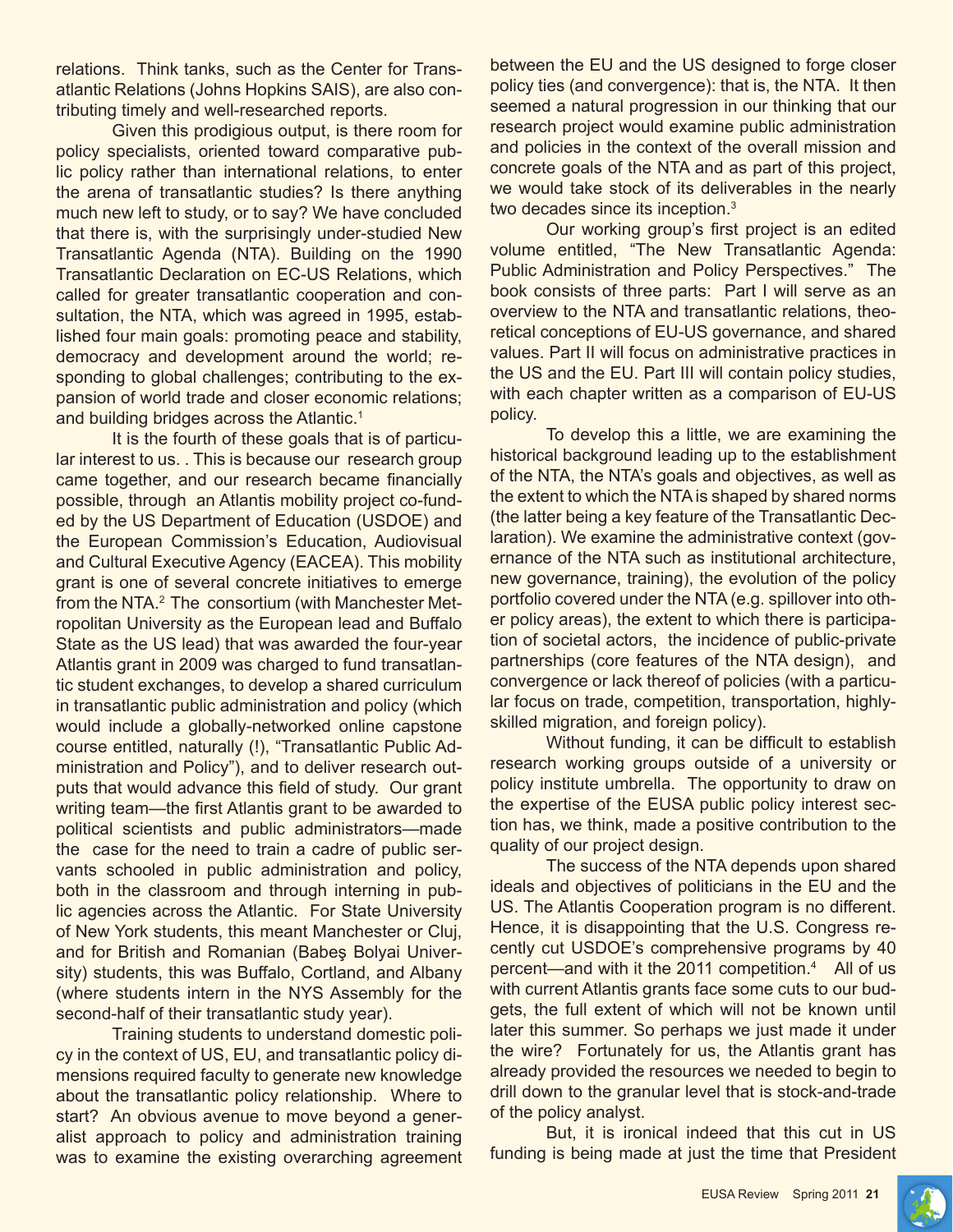relations. Think tanks, such as the Center for Transatlantic Relations (Johns Hopkins SAIS), are also contributing timely and well-researched reports.

Given this prodigious output, is there room for policy specialists, oriented toward comparative public policy rather than international relations, to enter the arena of transatlantic studies? Is there anything much new left to study, or to say? We have concluded that there is, with the surprisingly under-studied New Transatlantic Agenda (NTA). Building on the 1990 Transatlantic Declaration on EC-US Relations, which called for greater transatlantic cooperation and consultation, the NTA, which was agreed in 1995, established four main goals: promoting peace and stability, democracy and development around the world; responding to global challenges; contributing to the expansion of world trade and closer economic relations; and building bridges across the Atlantic.<sup>1</sup>

It is the fourth of these goals that is of particular interest to us. . This is because our research group came together, and our research became financially possible, through an Atlantis mobility project co-funded by the US Department of Education (USDOE) and the European Commission's Education, Audiovisual and Cultural Executive Agency (EACEA). This mobility grant is one of several concrete initiatives to emerge from the NTA.<sup>2</sup> The consortium (with Manchester Metropolitan University as the European lead and Buffalo State as the US lead) that was awarded the four-year Atlantis grant in 2009 was charged to fund transatlantic student exchanges, to develop a shared curriculum in transatlantic public administration and policy (which would include a globally-networked online capstone course entitled, naturally (!), "Transatlantic Public Administration and Policy"), and to deliver research outputs that would advance this field of study. Our grant writing team—the first Atlantis grant to be awarded to political scientists and public administrators—made the case for the need to train a cadre of public servants schooled in public administration and policy, both in the classroom and through interning in public agencies across the Atlantic. For State University of New York students, this meant Manchester or Cluj, and for British and Romanian (Babeş Bolyai University) students, this was Buffalo, Cortland, and Albany (where students intern in the NYS Assembly for the second-half of their transatlantic study year).

Training students to understand domestic policy in the context of US, EU, and transatlantic policy dimensions required faculty to generate new knowledge about the transatlantic policy relationship. Where to start? An obvious avenue to move beyond a generalist approach to policy and administration training was to examine the existing overarching agreement between the EU and the US designed to forge closer policy ties (and convergence): that is, the NTA. It then seemed a natural progression in our thinking that our research project would examine public administration and policies in the context of the overall mission and concrete goals of the NTA and as part of this project, we would take stock of its deliverables in the nearly two decades since its inception.<sup>3</sup>

Our working group's first project is an edited volume entitled, "The New Transatlantic Agenda: Public Administration and Policy Perspectives." The book consists of three parts: Part I will serve as an overview to the NTA and transatlantic relations, theoretical conceptions of EU-US governance, and shared values. Part II will focus on administrative practices in the US and the EU. Part III will contain policy studies, with each chapter written as a comparison of EU-US policy.

To develop this a little, we are examining the historical background leading up to the establishment of the NTA, the NTA's goals and objectives, as well as the extent to which the NTA is shaped by shared norms (the latter being a key feature of the Transatlantic Declaration). We examine the administrative context (governance of the NTA such as institutional architecture, new governance, training), the evolution of the policy portfolio covered under the NTA (e.g. spillover into other policy areas), the extent to which there is participation of societal actors, the incidence of public-private partnerships (core features of the NTA design), and convergence or lack thereof of policies (with a particular focus on trade, competition, transportation, highlyskilled migration, and foreign policy).

Without funding, it can be difficult to establish research working groups outside of a university or policy institute umbrella. The opportunity to draw on the expertise of the EUSA public policy interest section has, we think, made a positive contribution to the quality of our project design.

The success of the NTA depends upon shared ideals and objectives of politicians in the EU and the US. The Atlantis Cooperation program is no different. Hence, it is disappointing that the U.S. Congress recently cut USDOE's comprehensive programs by 40 percent—and with it the 2011 competition.4 All of us with current Atlantis grants face some cuts to our budgets, the full extent of which will not be known until later this summer. So perhaps we just made it under the wire? Fortunately for us, the Atlantis grant has already provided the resources we needed to begin to drill down to the granular level that is stock-and-trade of the policy analyst.

But, it is ironical indeed that this cut in US funding is being made at just the time that President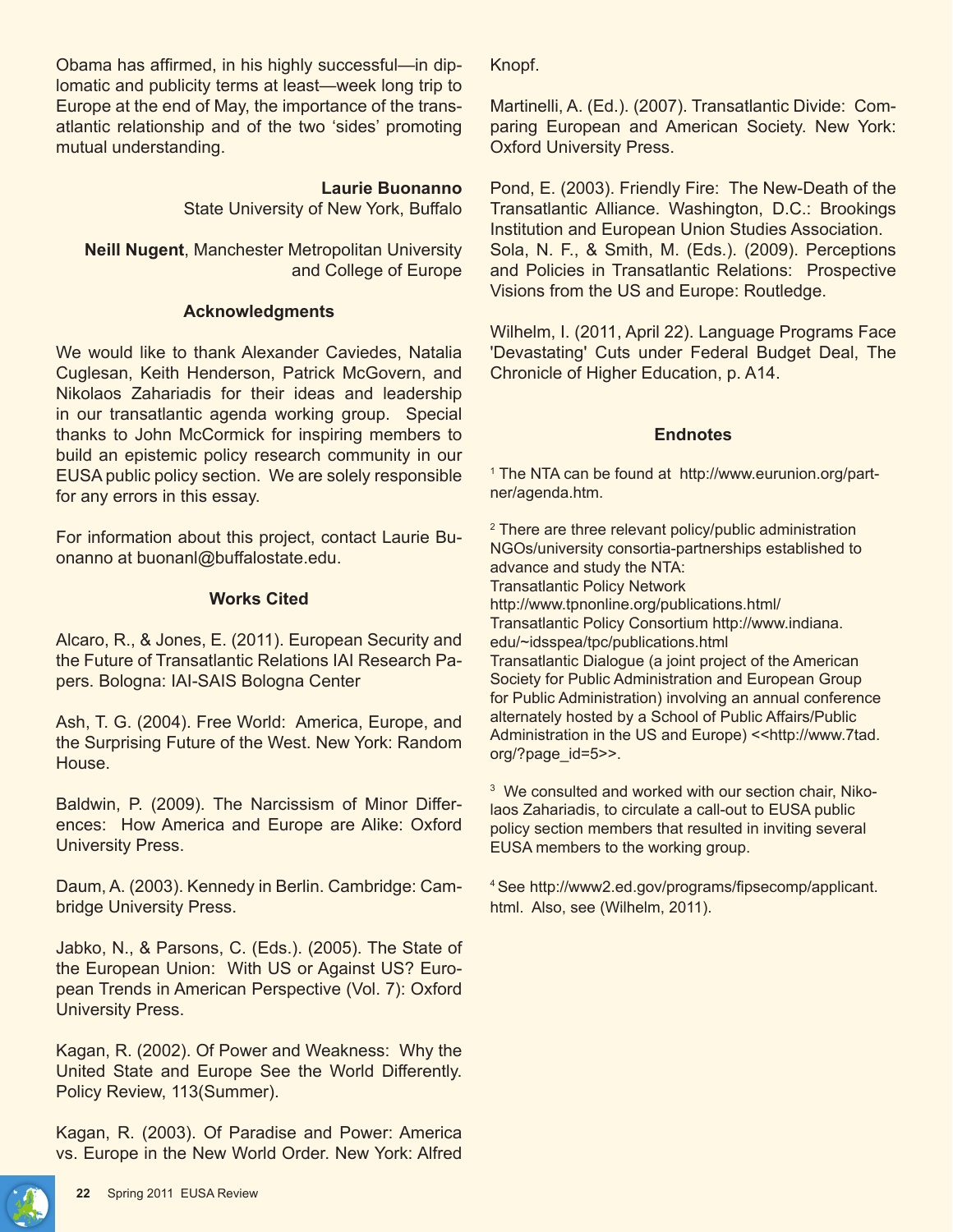Obama has affirmed, in his highly successful—in diplomatic and publicity terms at least—week long trip to Europe at the end of May, the importance of the transatlantic relationship and of the two 'sides' promoting mutual understanding.

> **Laurie Buonanno** State University of New York, Buffalo

**Neill Nugent**, Manchester Metropolitan University and College of Europe

## **Acknowledgments**

We would like to thank Alexander Caviedes, Natalia Cuglesan, Keith Henderson, Patrick McGovern, and Nikolaos Zahariadis for their ideas and leadership in our transatlantic agenda working group. Special thanks to John McCormick for inspiring members to build an epistemic policy research community in our EUSA public policy section. We are solely responsible for any errors in this essay.

For information about this project, contact Laurie Buonanno at buonanl@buffalostate.edu.

## **Works Cited**

Alcaro, R., & Jones, E. (2011). European Security and the Future of Transatlantic Relations IAI Research Papers. Bologna: IAI-SAIS Bologna Center

Ash, T. G. (2004). Free World: America, Europe, and the Surprising Future of the West. New York: Random House.

Baldwin, P. (2009). The Narcissism of Minor Differences: How America and Europe are Alike: Oxford University Press.

Daum, A. (2003). Kennedy in Berlin. Cambridge: Cambridge University Press.

Jabko, N., & Parsons, C. (Eds.). (2005). The State of the European Union: With US or Against US? European Trends in American Perspective (Vol. 7): Oxford University Press.

Kagan, R. (2002). Of Power and Weakness: Why the United State and Europe See the World Differently. Policy Review, 113(Summer).

Kagan, R. (2003). Of Paradise and Power: America vs. Europe in the New World Order. New York: Alfred

Knopf.

Martinelli, A. (Ed.). (2007). Transatlantic Divide: Comparing European and American Society. New York: Oxford University Press.

Pond, E. (2003). Friendly Fire: The New-Death of the Transatlantic Alliance. Washington, D.C.: Brookings Institution and European Union Studies Association. Sola, N. F., & Smith, M. (Eds.). (2009). Perceptions and Policies in Transatlantic Relations: Prospective Visions from the US and Europe: Routledge.

Wilhelm, I. (2011, April 22). Language Programs Face 'Devastating' Cuts under Federal Budget Deal, The Chronicle of Higher Education, p. A14.

## **Endnotes**

1 The NTA can be found at http://www.eurunion.org/partner/agenda.htm.

<sup>2</sup> There are three relevant policy/public administration NGOs/university consortia-partnerships established to advance and study the NTA: Transatlantic Policy Network http://www.tpnonline.org/publications.html/ Transatlantic Policy Consortium http://www.indiana. edu/~idsspea/tpc/publications.html Transatlantic Dialogue (a joint project of the American Society for Public Administration and European Group for Public Administration) involving an annual conference alternately hosted by a School of Public Affairs/Public Administration in the US and Europe) << http://www.7tad. org/?page\_id=5>>.

<sup>3</sup> We consulted and worked with our section chair, Nikolaos Zahariadis, to circulate a call-out to EUSA public policy section members that resulted in inviting several EUSA members to the working group.

<sup>4</sup>See http://www2.ed.gov/programs/fipsecomp/applicant. html. Also, see (Wilhelm, 2011).

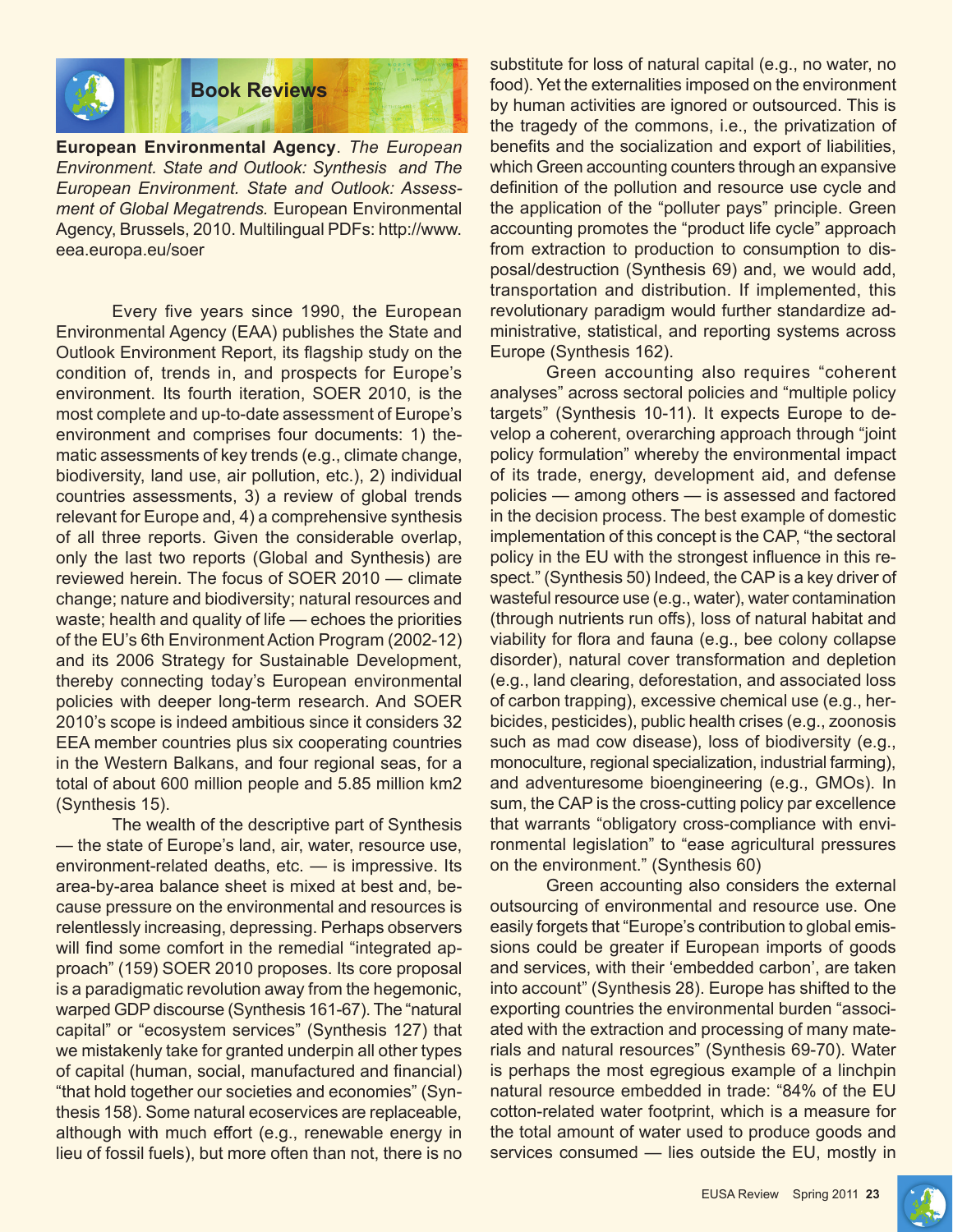

**European Environmental Agency**. *The European Environment. State and Outlook: Synthesis and The European Environment. State and Outlook: Assessment of Global Megatrends.* European Environmental Agency, Brussels, 2010. Multilingual PDFs: http://www. eea.europa.eu/soer

Every five years since 1990, the European Environmental Agency (EAA) publishes the State and Outlook Environment Report, its flagship study on the condition of, trends in, and prospects for Europe's environment. Its fourth iteration, SOER 2010, is the most complete and up-to-date assessment of Europe's environment and comprises four documents: 1) thematic assessments of key trends (e.g., climate change, biodiversity, land use, air pollution, etc.), 2) individual countries assessments, 3) a review of global trends relevant for Europe and, 4) a comprehensive synthesis of all three reports. Given the considerable overlap, only the last two reports (Global and Synthesis) are reviewed herein. The focus of SOER 2010 — climate change; nature and biodiversity; natural resources and waste; health and quality of life — echoes the priorities of the EU's 6th Environment Action Program (2002-12) and its 2006 Strategy for Sustainable Development, thereby connecting today's European environmental policies with deeper long-term research. And SOER 2010's scope is indeed ambitious since it considers 32 EEA member countries plus six cooperating countries in the Western Balkans, and four regional seas, for a total of about 600 million people and 5.85 million km2 (Synthesis 15).

The wealth of the descriptive part of Synthesis — the state of Europe's land, air, water, resource use, environment-related deaths, etc. — is impressive. Its area-by-area balance sheet is mixed at best and, because pressure on the environmental and resources is relentlessly increasing, depressing. Perhaps observers will find some comfort in the remedial "integrated approach" (159) SOER 2010 proposes. Its core proposal is a paradigmatic revolution away from the hegemonic, warped GDP discourse (Synthesis 161-67). The "natural capital" or "ecosystem services" (Synthesis 127) that we mistakenly take for granted underpin all other types of capital (human, social, manufactured and financial) "that hold together our societies and economies" (Synthesis 158). Some natural ecoservices are replaceable, although with much effort (e.g., renewable energy in lieu of fossil fuels), but more often than not, there is no

substitute for loss of natural capital (e.g., no water, no food). Yet the externalities imposed on the environment by human activities are ignored or outsourced. This is the tragedy of the commons, i.e., the privatization of benefits and the socialization and export of liabilities, which Green accounting counters through an expansive definition of the pollution and resource use cycle and the application of the "polluter pays" principle. Green accounting promotes the "product life cycle" approach from extraction to production to consumption to disposal/destruction (Synthesis 69) and, we would add, transportation and distribution. If implemented, this revolutionary paradigm would further standardize administrative, statistical, and reporting systems across Europe (Synthesis 162).

Green accounting also requires "coherent analyses" across sectoral policies and "multiple policy targets" (Synthesis 10-11). It expects Europe to develop a coherent, overarching approach through "joint policy formulation" whereby the environmental impact of its trade, energy, development aid, and defense policies — among others — is assessed and factored in the decision process. The best example of domestic implementation of this concept is the CAP, "the sectoral policy in the EU with the strongest influence in this respect." (Synthesis 50) Indeed, the CAP is a key driver of wasteful resource use (e.g., water), water contamination (through nutrients run offs), loss of natural habitat and viability for flora and fauna (e.g., bee colony collapse disorder), natural cover transformation and depletion (e.g., land clearing, deforestation, and associated loss of carbon trapping), excessive chemical use (e.g., herbicides, pesticides), public health crises (e.g., zoonosis such as mad cow disease), loss of biodiversity (e.g., monoculture, regional specialization, industrial farming), and adventuresome bioengineering (e.g., GMOs). In sum, the CAP is the cross-cutting policy par excellence that warrants "obligatory cross-compliance with environmental legislation" to "ease agricultural pressures on the environment." (Synthesis 60)

Green accounting also considers the external outsourcing of environmental and resource use. One easily forgets that "Europe's contribution to global emissions could be greater if European imports of goods and services, with their 'embedded carbon', are taken into account" (Synthesis 28). Europe has shifted to the exporting countries the environmental burden "associated with the extraction and processing of many materials and natural resources" (Synthesis 69-70). Water is perhaps the most egregious example of a linchpin natural resource embedded in trade: "84% of the EU cotton-related water footprint, which is a measure for the total amount of water used to produce goods and services consumed — lies outside the EU, mostly in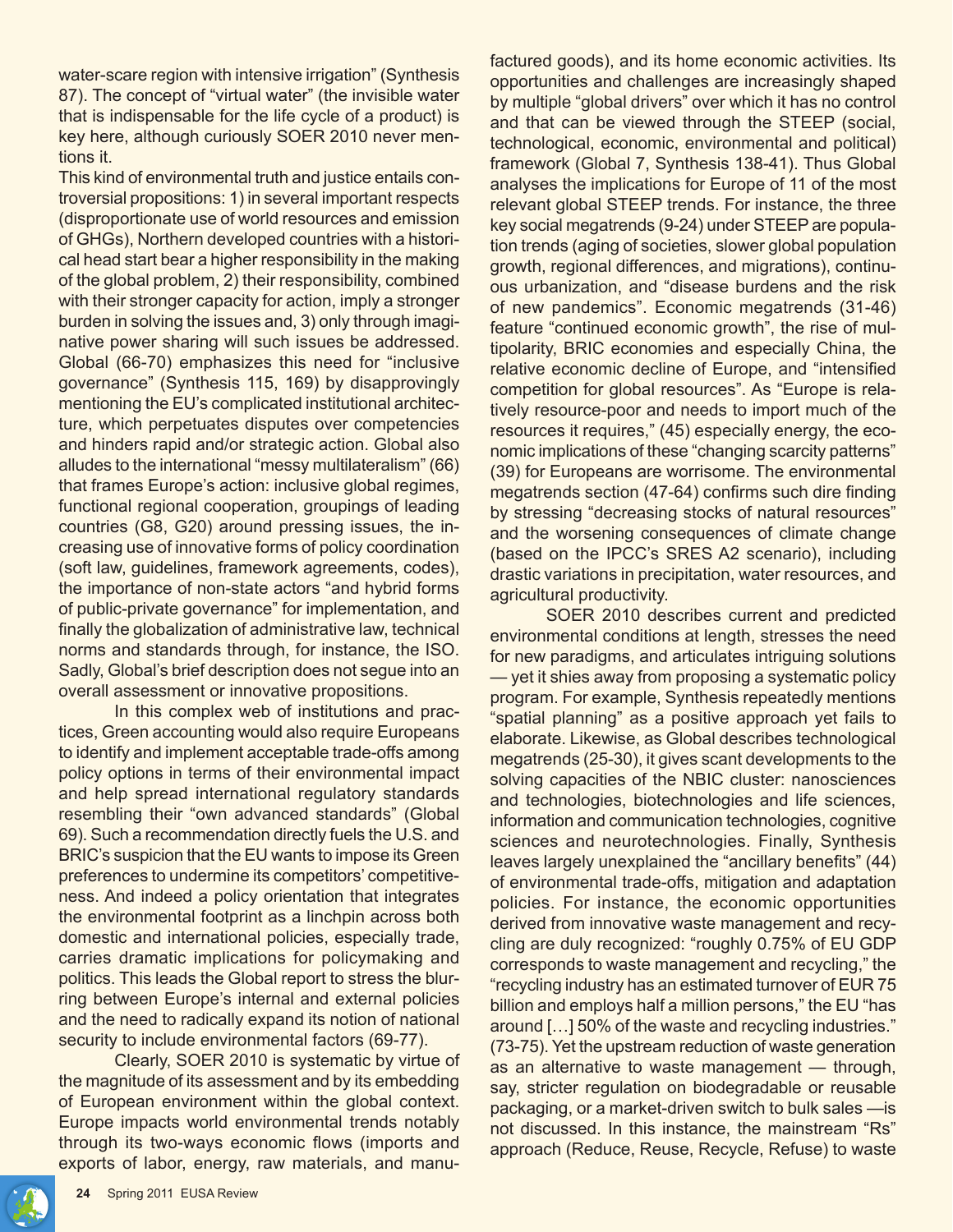water-scare region with intensive irrigation" (Synthesis 87). The concept of "virtual water" (the invisible water that is indispensable for the life cycle of a product) is key here, although curiously SOER 2010 never mentions it.

This kind of environmental truth and justice entails controversial propositions: 1) in several important respects (disproportionate use of world resources and emission of GHGs), Northern developed countries with a historical head start bear a higher responsibility in the making of the global problem, 2) their responsibility, combined with their stronger capacity for action, imply a stronger burden in solving the issues and, 3) only through imaginative power sharing will such issues be addressed. Global (66-70) emphasizes this need for "inclusive governance" (Synthesis 115, 169) by disapprovingly mentioning the EU's complicated institutional architecture, which perpetuates disputes over competencies and hinders rapid and/or strategic action. Global also alludes to the international "messy multilateralism" (66) that frames Europe's action: inclusive global regimes, functional regional cooperation, groupings of leading countries (G8, G20) around pressing issues, the increasing use of innovative forms of policy coordination (soft law, guidelines, framework agreements, codes), the importance of non-state actors "and hybrid forms of public-private governance" for implementation, and finally the globalization of administrative law, technical norms and standards through, for instance, the ISO. Sadly, Global's brief description does not segue into an overall assessment or innovative propositions.

In this complex web of institutions and practices, Green accounting would also require Europeans to identify and implement acceptable trade-offs among policy options in terms of their environmental impact and help spread international regulatory standards resembling their "own advanced standards" (Global 69). Such a recommendation directly fuels the U.S. and BRIC's suspicion that the EU wants to impose its Green preferences to undermine its competitors' competitiveness. And indeed a policy orientation that integrates the environmental footprint as a linchpin across both domestic and international policies, especially trade, carries dramatic implications for policymaking and politics. This leads the Global report to stress the blurring between Europe's internal and external policies and the need to radically expand its notion of national security to include environmental factors (69-77).

Clearly, SOER 2010 is systematic by virtue of the magnitude of its assessment and by its embedding of European environment within the global context. Europe impacts world environmental trends notably through its two-ways economic flows (imports and exports of labor, energy, raw materials, and manufactured goods), and its home economic activities. Its opportunities and challenges are increasingly shaped by multiple "global drivers" over which it has no control and that can be viewed through the STEEP (social, technological, economic, environmental and political) framework (Global 7, Synthesis 138-41). Thus Global analyses the implications for Europe of 11 of the most relevant global STEEP trends. For instance, the three key social megatrends (9-24) under STEEP are population trends (aging of societies, slower global population growth, regional differences, and migrations), continuous urbanization, and "disease burdens and the risk of new pandemics". Economic megatrends (31-46) feature "continued economic growth", the rise of multipolarity, BRIC economies and especially China, the relative economic decline of Europe, and "intensified competition for global resources". As "Europe is relatively resource-poor and needs to import much of the resources it requires," (45) especially energy, the economic implications of these "changing scarcity patterns" (39) for Europeans are worrisome. The environmental megatrends section (47-64) confirms such dire finding by stressing "decreasing stocks of natural resources" and the worsening consequences of climate change (based on the IPCC's SRES A2 scenario), including drastic variations in precipitation, water resources, and agricultural productivity.

SOER 2010 describes current and predicted environmental conditions at length, stresses the need for new paradigms, and articulates intriguing solutions — yet it shies away from proposing a systematic policy program. For example, Synthesis repeatedly mentions "spatial planning" as a positive approach yet fails to elaborate. Likewise, as Global describes technological megatrends (25-30), it gives scant developments to the solving capacities of the NBIC cluster: nanosciences and technologies, biotechnologies and life sciences, information and communication technologies, cognitive sciences and neurotechnologies. Finally, Synthesis leaves largely unexplained the "ancillary benefits" (44) of environmental trade-offs, mitigation and adaptation policies. For instance, the economic opportunities derived from innovative waste management and recycling are duly recognized: "roughly 0.75% of EU GDP corresponds to waste management and recycling," the "recycling industry has an estimated turnover of EUR 75 billion and employs half a million persons," the EU "has around […] 50% of the waste and recycling industries." (73-75). Yet the upstream reduction of waste generation as an alternative to waste management — through, say, stricter regulation on biodegradable or reusable packaging, or a market-driven switch to bulk sales —is not discussed. In this instance, the mainstream "Rs" approach (Reduce, Reuse, Recycle, Refuse) to waste

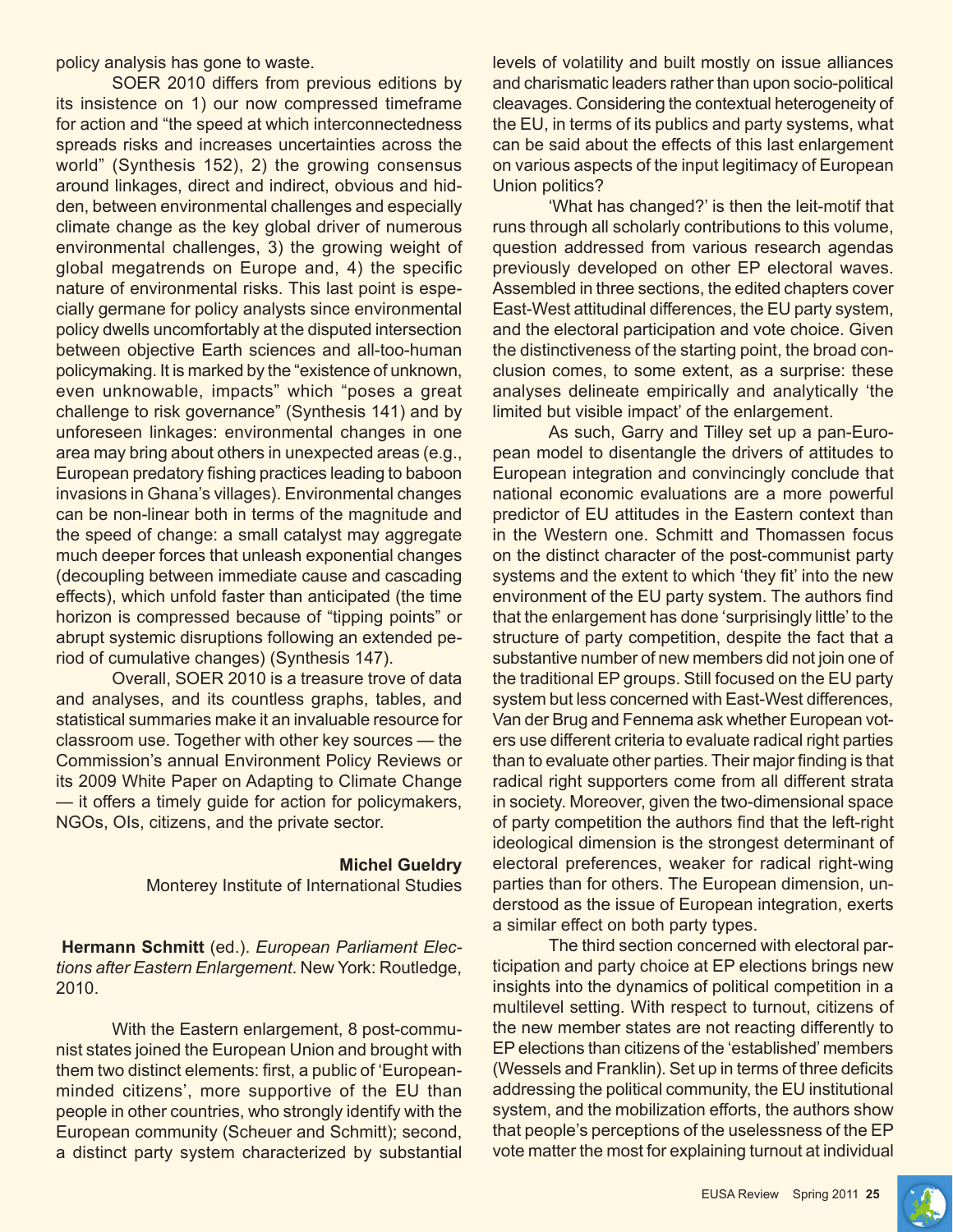policy analysis has gone to waste.

SOER 2010 differs from previous editions by its insistence on 1) our now compressed timeframe for action and "the speed at which interconnectedness spreads risks and increases uncertainties across the world" (Synthesis 152), 2) the growing consensus around linkages, direct and indirect, obvious and hidden, between environmental challenges and especially climate change as the key global driver of numerous environmental challenges, 3) the growing weight of global megatrends on Europe and, 4) the specific nature of environmental risks. This last point is especially germane for policy analysts since environmental policy dwells uncomfortably at the disputed intersection between objective Earth sciences and all-too-human policymaking. It is marked by the "existence of unknown, even unknowable, impacts" which "poses a great challenge to risk governance" (Synthesis 141) and by unforeseen linkages: environmental changes in one area may bring about others in unexpected areas (e.g., European predatory fishing practices leading to baboon invasions in Ghana's villages). Environmental changes can be non-linear both in terms of the magnitude and the speed of change: a small catalyst may aggregate much deeper forces that unleash exponential changes (decoupling between immediate cause and cascading effects), which unfold faster than anticipated (the time horizon is compressed because of "tipping points" or abrupt systemic disruptions following an extended period of cumulative changes) (Synthesis 147).

Overall, SOER 2010 is a treasure trove of data and analyses, and its countless graphs, tables, and statistical summaries make it an invaluable resource for classroom use. Together with other key sources — the Commission's annual Environment Policy Reviews or its 2009 White Paper on Adapting to Climate Change — it offers a timely guide for action for policymakers, NGOs, OIs, citizens, and the private sector.

#### **Michel Gueldry**

Monterey Institute of International Studies

**Hermann Schmitt** (ed.). *European Parliament Elections after Eastern Enlargement*. New York: Routledge, 2010.

With the Eastern enlargement, 8 post-communist states joined the European Union and brought with them two distinct elements: first, a public of 'Europeanminded citizens', more supportive of the EU than people in other countries, who strongly identify with the European community (Scheuer and Schmitt); second, a distinct party system characterized by substantial levels of volatility and built mostly on issue alliances and charismatic leaders rather than upon socio-political cleavages. Considering the contextual heterogeneity of the EU, in terms of its publics and party systems, what can be said about the effects of this last enlargement on various aspects of the input legitimacy of European Union politics?

'What has changed?' is then the leit-motif that runs through all scholarly contributions to this volume, question addressed from various research agendas previously developed on other EP electoral waves. Assembled in three sections, the edited chapters cover East-West attitudinal differences, the EU party system, and the electoral participation and vote choice. Given the distinctiveness of the starting point, the broad conclusion comes, to some extent, as a surprise: these analyses delineate empirically and analytically 'the limited but visible impact' of the enlargement.

As such, Garry and Tilley set up a pan-European model to disentangle the drivers of attitudes to European integration and convincingly conclude that national economic evaluations are a more powerful predictor of EU attitudes in the Eastern context than in the Western one. Schmitt and Thomassen focus on the distinct character of the post-communist party systems and the extent to which 'they fit' into the new environment of the EU party system. The authors find that the enlargement has done 'surprisingly little' to the structure of party competition, despite the fact that a substantive number of new members did not join one of the traditional EP groups. Still focused on the EU party system but less concerned with East-West differences, Van der Brug and Fennema ask whether European voters use different criteria to evaluate radical right parties than to evaluate other parties. Their major finding is that radical right supporters come from all different strata in society. Moreover, given the two-dimensional space of party competition the authors find that the left-right ideological dimension is the strongest determinant of electoral preferences, weaker for radical right-wing parties than for others. The European dimension, understood as the issue of European integration, exerts a similar effect on both party types.

The third section concerned with electoral participation and party choice at EP elections brings new insights into the dynamics of political competition in a multilevel setting. With respect to turnout, citizens of the new member states are not reacting differently to EP elections than citizens of the 'established' members (Wessels and Franklin). Set up in terms of three deficits addressing the political community, the EU institutional system, and the mobilization efforts, the authors show that people's perceptions of the uselessness of the EP vote matter the most for explaining turnout at individual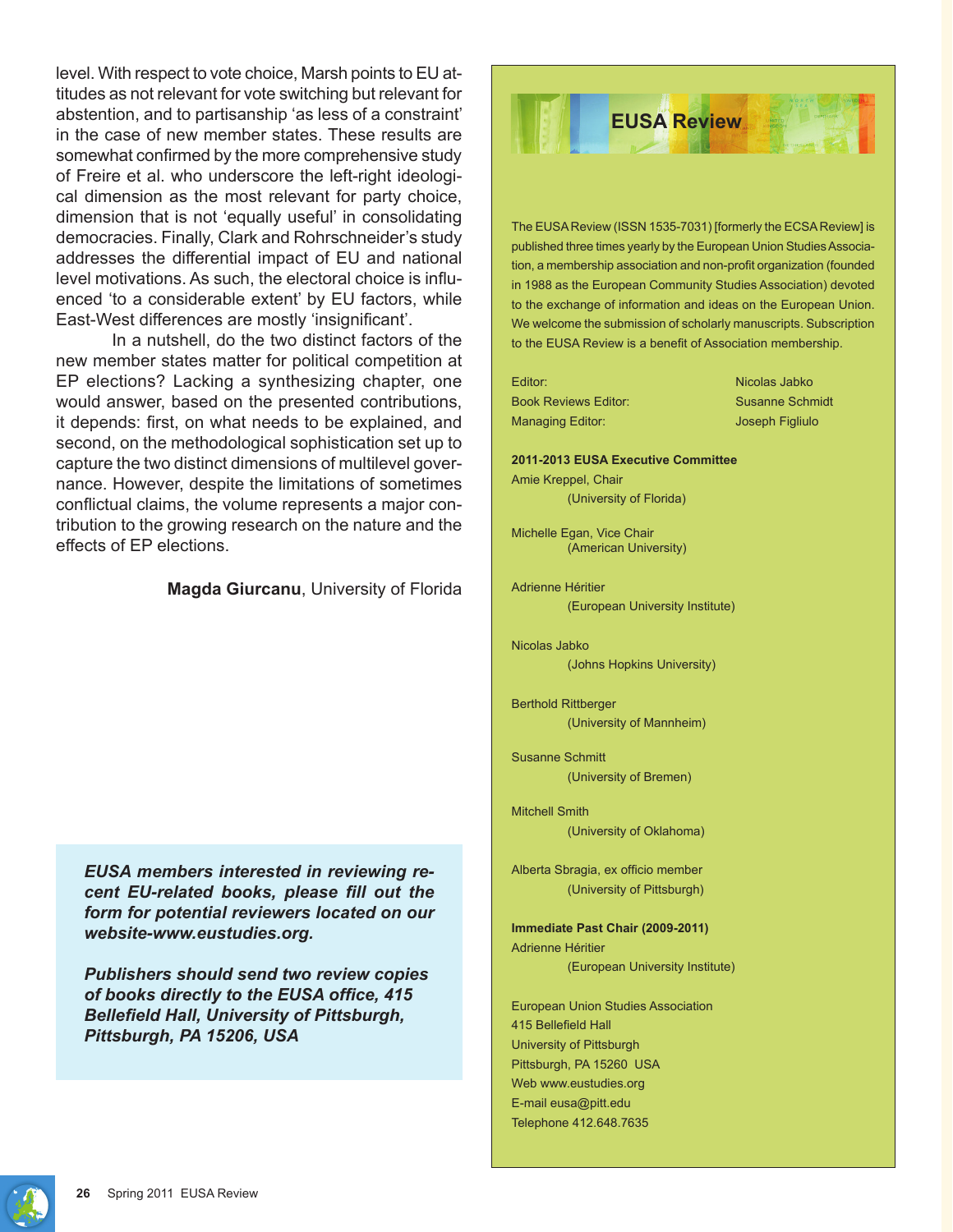level. With respect to vote choice, Marsh points to EU attitudes as not relevant for vote switching but relevant for abstention, and to partisanship 'as less of a constraint' in the case of new member states. These results are somewhat confirmed by the more comprehensive study of Freire et al. who underscore the left-right ideological dimension as the most relevant for party choice, dimension that is not 'equally useful' in consolidating democracies. Finally, Clark and Rohrschneider's study addresses the differential impact of EU and national level motivations. As such, the electoral choice is influenced 'to a considerable extent' by EU factors, while East-West differences are mostly 'insignificant'.

In a nutshell, do the two distinct factors of the new member states matter for political competition at EP elections? Lacking a synthesizing chapter, one would answer, based on the presented contributions, it depends: first, on what needs to be explained, and second, on the methodological sophistication set up to capture the two distinct dimensions of multilevel governance. However, despite the limitations of sometimes conflictual claims, the volume represents a major contribution to the growing research on the nature and the effects of EP elections.

#### **Magda Giurcanu**, University of Florida

*EUSA members interested in reviewing recent EU-related books, please fill out the form for potential reviewers located on our website-www.eustudies.org.*

*Publishers should send two review copies of books directly to the EUSA office, 415 Bellefield Hall, University of Pittsburgh, Pittsburgh, PA 15206, USA*



The EUSA Review (ISSN 1535-7031) [formerly the ECSA Review] is published three times yearly by the European Union Studies Association, a membership association and non-profit organization (founded in 1988 as the European Community Studies Association) devoted to the exchange of information and ideas on the European Union. We welcome the submission of scholarly manuscripts. Subscription to the EUSA Review is a benefit of Association membership.

Editor: Nicolas Jabko Book Reviews Editor: Susanne Schmidt Managing Editor: Joseph Figliulo

#### **2011-2013 EUSA Executive Committee**

Amie Kreppel, Chair (University of Florida)

Michelle Egan, Vice Chair (American University)

Adrienne Héritier (European University Institute)

Nicolas Jabko (Johns Hopkins University)

Berthold Rittberger (University of Mannheim)

Susanne Schmitt (University of Bremen)

Mitchell Smith (University of Oklahoma)

Alberta Sbragia, ex officio member (University of Pittsburgh)

**Immediate Past Chair (2009-2011)** Adrienne Héritier (European University Institute)

European Union Studies Association 415 Bellefield Hall University of Pittsburgh Pittsburgh, PA 15260 USA Web www.eustudies.org E-mail eusa@pitt.edu Telephone 412.648.7635